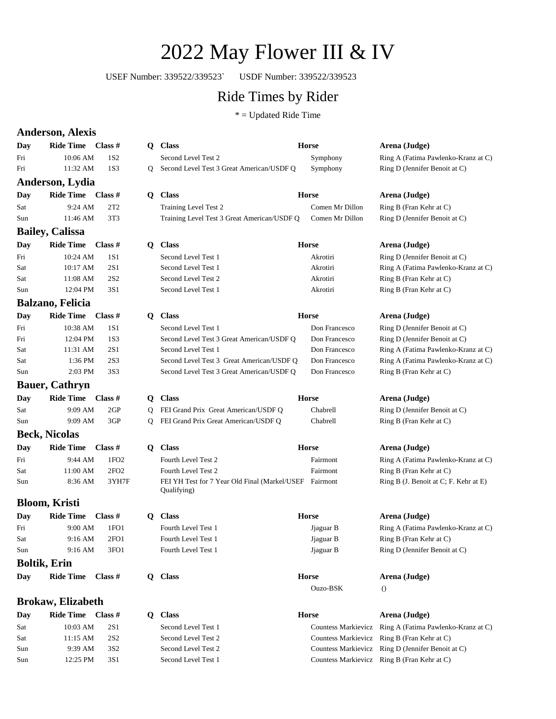# 2022 May Flower III & IV

USEF Number: 339522/339523` USDF Number: 339522/339523

# Ride Times by Rider

 $*$  = Updated Ride Time

### **Anderson, Alexis**

| Day | Ride Time Class $#$ |                 |
|-----|---------------------|-----------------|
| Fri | $10:06$ AM          | 1S <sub>2</sub> |
| Fri | $11:32 \text{ AM}$  | 1S3             |
|     | Anderson, Lydia     |                 |

| Day       | Ride Time Class # |                 |
|-----------|-------------------|-----------------|
| Sat       | $9:24$ AM         | 2T <sub>2</sub> |
| $C_{334}$ | $11.4C$ $AN$      | っすつ             |

### **Bailey, Calissa**

| Day | Ride Time $\blacksquare$ Class # |                 |
|-----|----------------------------------|-----------------|
| Fri | $10:24 \, \text{AM}$             | 1S1             |
| Sat | $10:17$ AM                       | 2S1             |
| Sat | $11:08$ AM                       | 2S <sub>2</sub> |
| Sun | 12:04 PM                         | 3S1             |

### **Balzano, Felicia**

| Day | Ride Time $\blacksquare$ Class # |     |
|-----|----------------------------------|-----|
| Fri | $10:38$ AM                       | 1S1 |
| Fri | 12:04 PM                         | 1S3 |
| Sat | $11:31$ AM                       | 2S1 |
| Sat | $1:36$ PM                        | 2S3 |
| Sun | $2:03$ PM                        | 3S3 |

### **Bauer, Cathryn**

| Day                  | Ride Time Class #   |     |  |  |  |
|----------------------|---------------------|-----|--|--|--|
| Sat                  | 9:09 AM             | 2GP |  |  |  |
| Sun                  | 9:09 AM             | 3GP |  |  |  |
| <b>Beck, Nicolas</b> |                     |     |  |  |  |
| Day                  | Ride Time Class $#$ |     |  |  |  |

| Fri        | $9:44$ AM | 1F <sub>O</sub> 2 |
|------------|-----------|-------------------|
| <b>Sat</b> | 11:00 AM  | 2FO2              |
| Sun        | $8:36$ AM | 3YH7I             |
|            |           |                   |

### **Bloom, Kristi**

| Day                 | Ride Time Class # |                  |  |  |
|---------------------|-------------------|------------------|--|--|
| Fri                 | $9:00$ AM         | 1FO <sub>1</sub> |  |  |
| Sat                 | 9:16 AM           | 2FO1             |  |  |
| Sun                 | 9:16 AM           | 3FO1             |  |  |
| <b>Boltik, Erin</b> |                   |                  |  |  |

### **Brokaw, Elizabeth**

| Day | Ride Time Class # |                 |
|-----|-------------------|-----------------|
| Sat | $10:03$ AM        | 2S1             |
| Sat | $11:15$ AM        | 2S <sub>2</sub> |
| Sun | $9:39$ AM         | 3S <sub>2</sub> |
| Sun | $12:25$ PM        | 3S1             |

| <b>Day</b> | <b>Ride Time</b>         | Class $#$        | Q           | <b>Class</b>                                                 | <b>Horse</b>    | Arena (Judge)                         |
|------------|--------------------------|------------------|-------------|--------------------------------------------------------------|-----------------|---------------------------------------|
| Fri        | 10:06 AM                 | 1S <sub>2</sub>  |             | Second Level Test 2                                          | Symphony        | Ring A (Fatima Pawlenko-Kranz at 0    |
| Fri        | 11:32 AM                 | 1S3              | Q           | Second Level Test 3 Great American/USDF Q                    | Symphony        | Ring D (Jennifer Benoit at C)         |
|            | Anderson, Lydia          |                  |             |                                                              |                 |                                       |
| Day        | <b>Ride Time</b>         | Class $#$        | Q           | <b>Class</b>                                                 | <b>Horse</b>    | Arena (Judge)                         |
| Sat        | 9:24 AM                  | 2T2              |             | Training Level Test 2                                        | Comen Mr Dillon | Ring B (Fran Kehr at C)               |
| Sun        | 11:46 AM                 | 3T <sub>3</sub>  |             | Training Level Test 3 Great American/USDF Q                  | Comen Mr Dillon | Ring D (Jennifer Benoit at C)         |
|            | <b>Bailey, Calissa</b>   |                  |             |                                                              |                 |                                       |
| <b>Day</b> | <b>Ride Time</b>         | Class $#$        | Q           | <b>Class</b>                                                 | <b>Horse</b>    | Arena (Judge)                         |
| Fri        | 10:24 AM                 | 1S1              |             | Second Level Test 1                                          | Akrotiri        | Ring D (Jennifer Benoit at C)         |
| Sat        | 10:17 AM                 | 2S1              |             | Second Level Test 1                                          | Akrotiri        | Ring A (Fatima Pawlenko-Kranz at 0    |
| Sat        | 11:08 AM                 | <b>2S2</b>       |             | Second Level Test 2                                          | Akrotiri        | Ring B (Fran Kehr at C)               |
| Sun        | 12:04 PM                 | 3S1              |             | Second Level Test 1                                          | Akrotiri        | Ring B (Fran Kehr at C)               |
|            | Balzano, Felicia         |                  |             |                                                              |                 |                                       |
| Day        | <b>Ride Time</b>         | Class $#$        | $\mathbf o$ | <b>Class</b>                                                 | <b>Horse</b>    | Arena (Judge)                         |
| Fri        | 10:38 AM                 | 1S1              |             | Second Level Test 1                                          | Don Francesco   | Ring D (Jennifer Benoit at C)         |
| Fri        | 12:04 PM                 | 1S3              |             | Second Level Test 3 Great American/USDF Q                    | Don Francesco   | Ring D (Jennifer Benoit at C)         |
| Sat        | 11:31 AM                 | 2S1              |             | Second Level Test 1                                          | Don Francesco   | Ring A (Fatima Pawlenko-Kranz at 0    |
| Sat        | 1:36 PM                  | 2S3              |             | Second Level Test 3 Great American/USDF Q                    | Don Francesco   | Ring A (Fatima Pawlenko-Kranz at 0    |
| Sun        | 2:03 PM                  | 3S3              |             | Second Level Test 3 Great American/USDF Q                    | Don Francesco   | Ring B (Fran Kehr at C)               |
|            | <b>Bauer, Cathryn</b>    |                  |             |                                                              |                 |                                       |
| Day        | <b>Ride Time</b>         | Class $#$        | Q.          | <b>Class</b>                                                 | <b>Horse</b>    | Arena (Judge)                         |
| Sat        | 9:09 AM                  | 2GP              | Q           | FEI Grand Prix Great American/USDF Q                         | Chabrell        | Ring D (Jennifer Benoit at C)         |
| Sun        | 9:09 AM                  | 3GP              | Q           | FEI Grand Prix Great American/USDF Q                         | Chabrell        | Ring B (Fran Kehr at C)               |
|            | <b>Beck, Nicolas</b>     |                  |             |                                                              |                 |                                       |
| Day        | <b>Ride Time</b>         | Class $#$        | Q           | <b>Class</b>                                                 | <b>Horse</b>    | Arena (Judge)                         |
| Fri        | 9:44 AM                  | 1FO <sub>2</sub> |             | Fourth Level Test 2                                          | Fairmont        | Ring A (Fatima Pawlenko-Kranz at 0    |
| Sat        | 11:00 AM                 | 2FO2             |             | Fourth Level Test 2                                          | Fairmont        | Ring B (Fran Kehr at C)               |
| Sun        | 8:36 AM                  | 3YH7F            |             | FEI YH Test for 7 Year Old Final (Markel/USEF<br>Qualifying) | Fairmont        | Ring B (J. Benoit at C; F. Kehr at E) |
|            | <b>Bloom, Kristi</b>     |                  |             |                                                              |                 |                                       |
| Day        | <b>Ride Time</b>         | Class #          | Q.          | <b>Class</b>                                                 | <b>Horse</b>    | Arena (Judge)                         |
| Fri        | 9:00 AM                  | 1FO1             |             | Fourth Level Test 1                                          | Jjaguar B       | Ring A (Fatima Pawlenko-Kranz at 0    |
| Sat        | 9:16 AM                  | 2FO1             |             | Fourth Level Test 1                                          | Jjaguar B       | Ring B (Fran Kehr at C)               |
| Sun        | 9:16 AM                  | 3FO <sub>1</sub> |             | Fourth Level Test 1                                          | Jjaguar B       | Ring D (Jennifer Benoit at C)         |
|            | <b>Boltik, Erin</b>      |                  |             |                                                              |                 |                                       |
| <b>Day</b> | <b>Ride Time</b>         | Class $#$        |             | Q Class                                                      | Horse           | Arena (Judge)                         |
|            |                          |                  |             |                                                              | Ouzo-BSK        | $\theta$                              |
|            | <b>Brokaw, Elizabeth</b> |                  |             |                                                              |                 |                                       |
| <b>Day</b> | Ride Time Class #        |                  |             | Q Class                                                      | Horse           | Arena (Judge)                         |

# Second Level Test 2 Countess Markievicz Ring B (Fran Kehr at C)

Second Level Test 1 Countess Markievicz Ring A (Fatima Pawlenko-Kranz at C) Second Level Test 2 Countess Markievicz Ring D (Jennifer Benoit at C) Second Level Test 1 Countess Markievicz Ring B (Fran Kehr at C)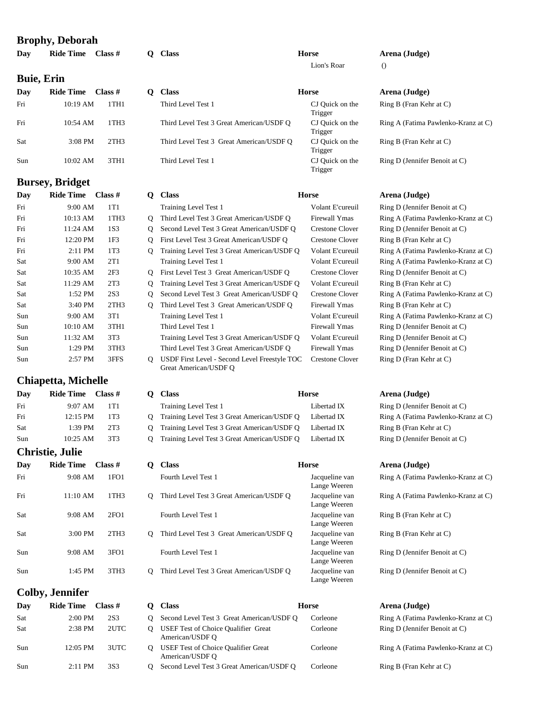### **Brophy, Deborah**

| Day        | <b>Ride Time</b>           | Class #          | $\mathbf{Q}$   | <b>Class</b>                                                           | <b>Horse</b>               | Arena (Judge)                       |
|------------|----------------------------|------------------|----------------|------------------------------------------------------------------------|----------------------------|-------------------------------------|
|            |                            |                  |                |                                                                        | Lion's Roar                | $\theta$                            |
|            | <b>Buie, Erin</b>          |                  |                |                                                                        |                            |                                     |
| Day        | <b>Ride Time</b>           | Class $#$        | $\mathbf{Q}$   | <b>Class</b>                                                           | <b>Horse</b>               | Arena (Judge)                       |
| Fri        | 10:19 AM                   | 1TH1             |                | Third Level Test 1                                                     | CJ Quick on the<br>Trigger | Ring B (Fran Kehr at C)             |
| Fri        | 10:54 AM                   | 1TH <sub>3</sub> |                | Third Level Test 3 Great American/USDF Q                               | CJ Quick on the<br>Trigger | Ring A (Fatima Pawlenko-Kranz at C) |
| Sat        | 3:08 PM                    | 2TH3             |                | Third Level Test 3 Great American/USDF Q                               | CJ Quick on the<br>Trigger | Ring B (Fran Kehr at C)             |
| Sun        | 10:02 AM                   | 3TH1             |                | Third Level Test 1                                                     | CJ Quick on the<br>Trigger | Ring D (Jennifer Benoit at C)       |
|            | <b>Bursey, Bridget</b>     |                  |                |                                                                        |                            |                                     |
| Day        | <b>Ride Time</b>           | Class #          | $\mathbf{Q}$   | <b>Class</b>                                                           | <b>Horse</b>               | Arena (Judge)                       |
| Fri        | 9:00 AM                    | 1T1              |                | Training Level Test 1                                                  | Volant E'cureuil           | Ring D (Jennifer Benoit at C)       |
| Fri        | 10:13 AM                   | 1TH3             | Q              | Third Level Test 3 Great American/USDF Q                               | Firewall Ymas              | Ring A (Fatima Pawlenko-Kranz at C) |
| Fri        | 11:24 AM                   | 1S3              | Q              | Second Level Test 3 Great American/USDF Q                              | <b>Crestone Clover</b>     | Ring D (Jennifer Benoit at C)       |
| Fri        | 12:20 PM                   | 1F <sub>3</sub>  | Q              | First Level Test 3 Great American/USDF Q                               | <b>Crestone Clover</b>     | Ring B (Fran Kehr at C)             |
| Fri        | 2:11 PM                    | 1T3              | Q              | Training Level Test 3 Great American/USDF Q                            | Volant E'cureuil           | Ring A (Fatima Pawlenko-Kranz at C) |
| Sat        | 9:00 AM                    | 2T1              |                | Training Level Test 1                                                  | Volant E'cureuil           | Ring A (Fatima Pawlenko-Kranz at C) |
| Sat        | 10:35 AM                   | 2F <sub>3</sub>  | Q              | First Level Test 3 Great American/USDF Q                               | <b>Crestone Clover</b>     | Ring D (Jennifer Benoit at C)       |
| Sat        | 11:29 AM                   | 2T <sub>3</sub>  | Q              | Training Level Test 3 Great American/USDF Q                            | Volant E'cureuil           | Ring B (Fran Kehr at C)             |
| Sat        | 1:52 PM                    | 2S3              | Q              | Second Level Test 3 Great American/USDF Q                              | <b>Crestone Clover</b>     | Ring A (Fatima Pawlenko-Kranz at C) |
| Sat        | 3:40 PM                    | 2TH3             | $\overline{O}$ | Third Level Test 3 Great American/USDF Q                               | Firewall Ymas              | Ring B (Fran Kehr at C)             |
| Sun        | 9:00 AM                    | 3T1              |                | Training Level Test 1                                                  | Volant E'cureuil           | Ring A (Fatima Pawlenko-Kranz at C) |
| Sun        | 10:10 AM                   | 3TH1             |                | Third Level Test 1                                                     | Firewall Ymas              | Ring D (Jennifer Benoit at C)       |
| Sun        | 11:32 AM                   | 3T <sub>3</sub>  |                | Training Level Test 3 Great American/USDF Q                            | Volant E'cureuil           | Ring D (Jennifer Benoit at C)       |
| Sun        | 1:29 PM                    | 3TH <sub>3</sub> |                | Third Level Test 3 Great American/USDF Q                               | Firewall Ymas              | Ring D (Jennifer Benoit at C)       |
| Sun        | 2:57 PM                    | 3FFS             | Q              | USDF First Level - Second Level Freestyle TOC<br>Great American/USDF Q | <b>Crestone Clover</b>     | Ring D (Fran Kehr at C)             |
|            | <b>Chiapetta, Michelle</b> |                  |                |                                                                        |                            |                                     |
| Day        | Ride Time Class #          |                  |                | Q Class                                                                | <b>Horse</b>               | Arena (Judge)                       |
| Fri        | 9:07 AM                    | 1T1              |                | Training Level Test 1                                                  | Libertad IX                | Ring D (Jennifer Benoit at C)       |
| Fri        | 12:15 PM                   | 1T <sub>3</sub>  | Q              | Training Level Test 3 Great American/USDF Q                            | Libertad IX                | Ring A (Fatima Pawlenko-Kranz at C) |
| Sat        | 1:39 PM                    | 2T3              | Q              | Training Level Test 3 Great American/USDF Q                            | Libertad IX                | Ring B (Fran Kehr at C)             |
| Sun        | 10:25 AM                   | 3T <sub>3</sub>  | Q              | Training Level Test 3 Great American/USDF Q                            | Libertad IX                | Ring D (Jennifer Benoit at C)       |
|            | Christie, Julie            |                  |                |                                                                        |                            |                                     |
| <b>Day</b> | <b>Ride Time</b>           | Class $#$        |                | Q Class                                                                | <b>Horse</b>               | Arena (Judge)                       |

| Day | iniuv fiinv | - 1039           | $\checkmark$ | - 105                                    |                                             | TH CHA TO AUGUT                     |
|-----|-------------|------------------|--------------|------------------------------------------|---------------------------------------------|-------------------------------------|
| Fri | 9:08 AM     | 1FO1             |              | Fourth Level Test 1                      | Jacqueline van<br>Lange Weeren              | Ring A (Fatima Pawlenko-Kranz at C) |
| Fri | 11:10 AM    | 1TH <sub>3</sub> | 0            | Third Level Test 3 Great American/USDF O | Jacqueline van<br>Lange Weeren              | Ring A (Fatima Pawlenko-Kranz at C) |
| Sat | $9:08$ AM   | 2F <sub>O1</sub> |              | Fourth Level Test 1                      | Jacqueline van<br>Lange Weeren              | Ring B (Fran Kehr at C)             |
| Sat | $3:00$ PM   | 2TH3             | O            | Third Level Test 3 Great American/USDF Q | Jacqueline van<br>Lange Weeren              | Ring B (Fran Kehr at C)             |
| Sun | 9:08 AM     | 3F <sub>O1</sub> |              | Fourth Level Test 1                      | Jacqueline van<br>Lange Weeren              | Ring D (Jennifer Benoit at C)       |
| Sun | 1:45 PM     | 3TH3             | $\Omega$     | Third Level Test 3 Great American/USDF O | Jacqueline van<br>$\mathbf{r}$ $\mathbf{v}$ | Ring D (Jennifer Benoit at C)       |

### **Colby, Jennifer**

| Day | Ride Time Class # |      |
|-----|-------------------|------|
| Sat | $2:00$ PM         | 2S3  |
| Sat | $2:38$ PM         | 2UTC |
| Sun | $12:05$ PM        | 3UTC |
| Sun | $2:11$ PM         | 3S3  |

| Dav | <b>Ride Time</b>  | Class # | <b>Class</b>                                                  | Horse    | Arena (Judge)                       |
|-----|-------------------|---------|---------------------------------------------------------------|----------|-------------------------------------|
| Sat | $2:00 \text{ PM}$ | 2S3     | Second Level Test 3 Great American/USDF Q                     | Corleone | Ring A (Fatima Pawlenko-Kranz at C) |
| Sat | $2:38$ PM         | 2UTC    | <b>USEF</b> Test of Choice Qualifier Great<br>American/USDF O | Corleone | Ring D (Jennifer Benoit at C)       |
| Sun | $12:05$ PM        | 3UTC    | <b>USEF</b> Test of Choice Qualifier Great<br>American/USDF O | Corleone | Ring A (Fatima Pawlenko-Kranz at C) |
| Sun | $2:11$ PM         | 3S3     | Second Level Test 3 Great American/USDF Q                     | Corleone | Ring B (Fran Kehr at C)             |

Lange Weeren

| Fn               | 9:08 AM   | IFOI             |    | Fourth Level Test 1                      | Jacqueline van<br>Lange Weeren | Ring A (Fatima Pawlenko-Kranz at C) |
|------------------|-----------|------------------|----|------------------------------------------|--------------------------------|-------------------------------------|
| Fri              | 11:10 AM  | 1TH <sub>3</sub> |    | Third Level Test 3 Great American/USDF O | Jacqueline van<br>Lange Weeren | Ring A (Fatima Pawlenko-Kranz at C) |
| Sat              | $9:08$ AM | 2F <sub>O1</sub> |    | Fourth Level Test 1                      | Jacqueline van<br>Lange Weeren | Ring B (Fran Kehr at C)             |
| Sat              | $3:00$ PM | 2TH3             | 0. | Third Level Test 3 Great American/USDF O | Jacqueline van<br>Lange Weeren | Ring B (Fran Kehr at C)             |
| Sun              | $9:08$ AM | 3F <sub>O1</sub> |    | Fourth Level Test 1                      | Jacqueline van<br>Lange Weeren | Ring D (Jennifer Benoit at C)       |
| S <sub>11n</sub> | 1.45 PM   | 3TH3             |    | Third Level Test 3 Great American/USDE O | Jacqueline van                 | $Ring D$ (Jennifer Benoit at $C$ )  |

### $Area (Judge)$

| Ring A (Fatima Pawlenko-Kranz at C) |
|-------------------------------------|
| Ring D (Jennifer Benoit at C)       |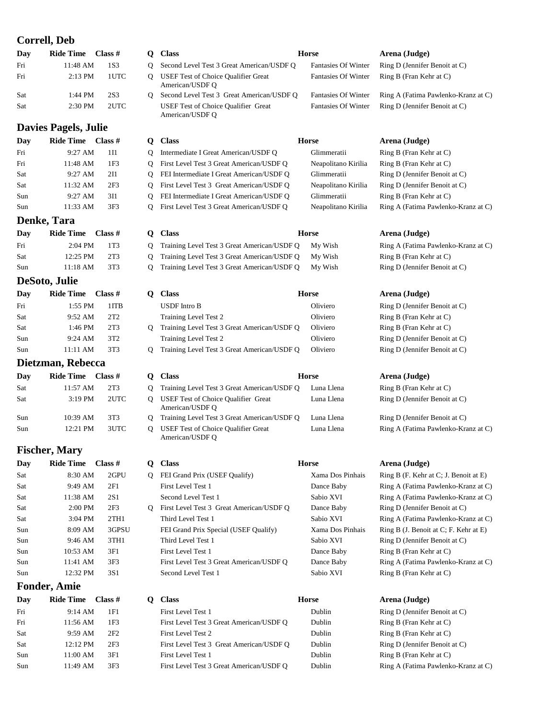### **Correll, Deb**

| Day | Ride Time Class # |      |
|-----|-------------------|------|
| Fri | 11:48 AM          | 1S3  |
| Fri | $2:13$ PM         | 1UTC |
| Sat | $1:44$ PM         | 2S3  |
| Sat | $2:30$ PM         | 2UTC |

### **Davies Pagels, Julie**

| Day | Ride Time Class # |                 |  |
|-----|-------------------|-----------------|--|
| Fri | $9:27$ AM         | 1 I 1           |  |
| Fri | $11:48$ AM        | 1F <sub>3</sub> |  |
| Sat | $9:27$ AM         | 2I1             |  |
| Sat | $11:32$ AM        | 2F <sub>3</sub> |  |
| Sun | 9:27 AM           | 3I1             |  |
| Sun | $11:33$ AM        | 3F3             |  |
|     |                   |                 |  |

### **Denke, Tara**

| Day | Ride Time Class # |     |
|-----|-------------------|-----|
| Fri | $2:04$ PM         | 1T3 |
| Sat | $12:25$ PM        | 2T3 |
| Sun | $11:18$ AM        | 3T3 |

### **DeSoto, Julie**

| Day | Ride Time Class #   |                 |
|-----|---------------------|-----------------|
| Fri | $1:55$ PM           | 1ITB            |
| Sat | $9:52 \, \text{AM}$ | 2T2             |
| Sat | $1:46$ PM           | 2T <sub>3</sub> |
| Sun | $9:24$ AM           | 3T2             |
| Sun | $11:11$ AM          | 3T3             |
|     |                     |                 |

### **Dietzman, Rebecca**

| Day | Ride Time $\blacksquare$ Class # |      |
|-----|----------------------------------|------|
| Sat | 11:57 AM                         | 2T3  |
| Sat | $3:19$ PM                        | 2UTC |
| Sun | $10:39$ AM                       | 3T3  |
| Sun | $12:21$ PM                       | 3UTC |

### **Fischer, Mary**

| $2$ GPU                                                                                                                                                         |
|-----------------------------------------------------------------------------------------------------------------------------------------------------------------|
| 2F1                                                                                                                                                             |
| 2S1                                                                                                                                                             |
| 2F <sub>3</sub>                                                                                                                                                 |
| 2TH1                                                                                                                                                            |
| 3GPSU                                                                                                                                                           |
| 3TH1                                                                                                                                                            |
| 3F1                                                                                                                                                             |
| 3F <sub>3</sub>                                                                                                                                                 |
| 3S1                                                                                                                                                             |
| Ride Time Class #<br>$8:30$ AM<br>$9:49$ AM<br>$11:38$ AM<br>$2:00$ PM<br>$3:04$ PM<br>$8:09$ AM<br>$9:46$ AM<br>$10:53$ AM<br>$11:41$ AM<br>$12:32 \text{ PM}$ |

## **Fonder, Amie**

| Day | Ride Time Class #  |                 |
|-----|--------------------|-----------------|
| Fri | 9:14 AM            | 1F1             |
| Fri | $11:56$ AM         | 1F <sub>3</sub> |
| Sat | $9:59$ AM          | 2F2             |
| Sat | $12:12 \text{ PM}$ | 2F <sub>3</sub> |
| Sun | $11:00$ AM         | 3F1             |
| Sun | 11:49 AM           | 3F <sub>3</sub> |

|            | COLLUI, DU                  |                 |              |                                                                                         |                                                          |                                                                      |
|------------|-----------------------------|-----------------|--------------|-----------------------------------------------------------------------------------------|----------------------------------------------------------|----------------------------------------------------------------------|
| Day        | Ride Time                   | Class $#$       | Q.           | <b>Class</b>                                                                            | <b>Horse</b>                                             | Arena (Judge)                                                        |
| Fri        | 11:48 AM                    | 1S3             | Q            | Second Level Test 3 Great American/USDF Q                                               | <b>Fantasies Of Winter</b>                               | Ring D (Jennifer Benoit at C)                                        |
| Fri        | 2:13 PM                     | 1UTC            | Q.           | <b>USEF</b> Test of Choice Qualifier Great<br>American/USDF Q                           | <b>Fantasies Of Winter</b>                               | Ring B (Fran Kehr at C)                                              |
| Sat<br>Sat | 1:44 PM<br>2:30 PM          | 2S3<br>2UTC     | Q.           | Second Level Test 3 Great American/USDF Q<br><b>USEF Test of Choice Qualifier Great</b> | <b>Fantasies Of Winter</b><br><b>Fantasies Of Winter</b> | Ring A (Fatima Pawlenko-Kranz at C)<br>Ring D (Jennifer Benoit at C) |
|            |                             |                 |              | American/USDF Q                                                                         |                                                          |                                                                      |
|            | <b>Davies Pagels, Julie</b> |                 |              |                                                                                         |                                                          |                                                                      |
| Day        | <b>Ride Time</b>            | Class $#$       | $\mathbf Q$  | <b>Class</b>                                                                            | <b>Horse</b>                                             | Arena (Judge)                                                        |
| Fri        | 9:27 AM                     | 1I1             | Q.           | Intermediate I Great American/USDF Q                                                    | Glimmeratii                                              | Ring B (Fran Kehr at C)                                              |
| Fri        | 11:48 AM                    | 1F3             | $\mathsf{Q}$ | First Level Test 3 Great American/USDF Q                                                | Neapolitano Kirilia                                      | Ring B (Fran Kehr at C)                                              |
| Sat        | 9:27 AM                     | 2I1             | $\mathsf{Q}$ | FEI Intermediate I Great American/USDF Q                                                | Glimmeratii                                              | Ring D (Jennifer Benoit at C)                                        |
| Sat        | 11:32 AM                    | 2F <sub>3</sub> | Q            | First Level Test 3 Great American/USDF Q                                                | Neapolitano Kirilia                                      | Ring D (Jennifer Benoit at C)                                        |
| Sun        | 9:27 AM                     | 3I1             | Q            | FEI Intermediate I Great American/USDF Q                                                | Glimmeratii                                              | Ring B (Fran Kehr at C)                                              |
| Sun        | 11:33 AM                    | 3F3             | Q            | First Level Test 3 Great American/USDF Q                                                | Neapolitano Kirilia                                      | Ring A (Fatima Pawlenko-Kranz at C)                                  |
|            | Denke, Tara                 |                 |              |                                                                                         |                                                          |                                                                      |
| Day        | <b>Ride Time</b>            | Class #         | Q            | <b>Class</b>                                                                            | <b>Horse</b>                                             | Arena (Judge)                                                        |
| Fri        | 2:04 PM                     | 1T <sub>3</sub> | Q            | Training Level Test 3 Great American/USDF Q                                             | My Wish                                                  | Ring A (Fatima Pawlenko-Kranz at C)                                  |
| Sat        | 12:25 PM                    | 2T <sub>3</sub> | Q            | Training Level Test 3 Great American/USDF Q                                             | My Wish                                                  | Ring B (Fran Kehr at C)                                              |
| Sun        | 11:18 AM                    | 3T <sub>3</sub> | Q            | Training Level Test 3 Great American/USDF Q                                             | My Wish                                                  | Ring D (Jennifer Benoit at C)                                        |
|            | DeSoto, Julie               |                 |              |                                                                                         |                                                          |                                                                      |
| Day        | <b>Ride Time</b>            | Class #         | $\mathbf{Q}$ | <b>Class</b>                                                                            | <b>Horse</b>                                             | Arena (Judge)                                                        |
| Fri        | 1:55 PM                     | 1ITB            |              | USDF Intro B                                                                            | Oliviero                                                 | Ring D (Jennifer Benoit at C)                                        |
| Sat        | 9:52 AM                     | 2T2             |              | Training Level Test 2                                                                   | Oliviero                                                 | Ring B (Fran Kehr at C)                                              |
| Sat        | 1:46 PM                     | 2T <sub>3</sub> | Q            | Training Level Test 3 Great American/USDF Q                                             | Oliviero                                                 | Ring B (Fran Kehr at C)                                              |
| Sun        | 9:24 AM                     | 3T2             |              | Training Level Test 2                                                                   | Oliviero                                                 | Ring D (Jennifer Benoit at C)                                        |
| Sun        | 11:11 AM                    | 3T <sub>3</sub> | Q            | Training Level Test 3 Great American/USDF Q                                             | Oliviero                                                 | Ring D (Jennifer Benoit at C)                                        |
|            | Dietzman, Rebecca           |                 |              |                                                                                         |                                                          |                                                                      |
| Day        | <b>Ride Time</b>            | Class $#$       | $\mathbf U$  | <b>Class</b>                                                                            | <b>Horse</b>                                             | Arena (Judge)                                                        |
| Sat        | 11:57 AM                    | 2T <sub>3</sub> | Q            | Training Level Test 3 Great American/USDF Q                                             | Luna Llena                                               | Ring B (Fran Kehr at C)                                              |
| Sat        | 3:19 PM                     | 2UTC            | Q            | USEF Test of Choice Qualifier Great<br>American/USDF Q                                  | Luna Llena                                               | Ring D (Jennifer Benoit at C)                                        |
| Sun        | 10:39 AM                    | 3T <sub>3</sub> | Q            | Training Level Test 3 Great American/USDF Q                                             | Luna Llena                                               | Ring D (Jennifer Benoit at C)                                        |
| Sun        | 12:21 PM                    | 3UTC            | O            | USEF Test of Choice Qualifier Great<br>American/USDF Q                                  | Luna Llena                                               | Ring A (Fatima Pawlenko-Kranz at C)                                  |
|            | <b>Fischer, Mary</b>        |                 |              |                                                                                         |                                                          |                                                                      |
| Day        | <b>Ride Time</b>            | Class #         |              | Q Class                                                                                 | <b>Horse</b>                                             | Arena (Judge)                                                        |
| Sat        | 8:30 AM                     | 2GPU            | Q            | FEI Grand Prix (USEF Qualify)                                                           | Xama Dos Pinhais                                         | Ring B (F. Kehr at C; J. Benoit at E)                                |
| Sat        | 9:49 AM                     | 2F1             |              | First Level Test 1                                                                      | Dance Baby                                               | Ring A (Fatima Pawlenko-Kranz at C)                                  |
| Sat        | 11:38 AM                    | 2S1             |              | Second Level Test 1                                                                     | Sabio XVI                                                | Ring A (Fatima Pawlenko-Kranz at C)                                  |
| Sat        | 2:00 PM                     | 2F <sub>3</sub> | Q            | First Level Test 3 Great American/USDF Q                                                | Dance Baby                                               | Ring D (Jennifer Benoit at C)                                        |
| Sat        | 3:04 PM                     | 2TH1            |              | Third Level Test 1                                                                      | Sabio XVI                                                | Ring A (Fatima Pawlenko-Kranz at C)                                  |
| Sun        | 8:09 AM                     | 3GPSU           |              | FEI Grand Prix Special (USEF Qualify)                                                   | Xama Dos Pinhais                                         | Ring B (J. Benoit at C; F. Kehr at E)                                |
| Sun        | 9:46 AM                     | 3TH1            |              | Third Level Test 1                                                                      | Sabio XVI                                                | Ring D (Jennifer Benoit at C)                                        |
| Sun        | 10:53 AM                    | 3F1             |              | First Level Test 1                                                                      | Dance Baby                                               | Ring B (Fran Kehr at C)                                              |
| Sun        | 11:41 AM                    | 3F <sub>3</sub> |              | First Level Test 3 Great American/USDF Q                                                | Dance Baby                                               | Ring A (Fatima Pawlenko-Kranz at C)                                  |
| Sun        | 12:32 PM                    | 3S1             |              | Second Level Test 1                                                                     | Sabio XVI                                                | Ring B (Fran Kehr at C)                                              |
|            | Fonder, Amie                |                 |              |                                                                                         |                                                          |                                                                      |
| Day        | <b>Ride Time</b>            | Class $#$       | $\mathbf 0$  | <b>Class</b>                                                                            | Horse                                                    | Arena (Judge)                                                        |
| Fri        | 9:14 AM                     | 1F1             |              | First Level Test 1                                                                      | Dublin                                                   | Ring D (Jennifer Benoit at C)                                        |
|            |                             |                 |              |                                                                                         |                                                          |                                                                      |

# First Level Test 3 Great American/USDF Q Dublin Ring B (Fran Kehr at C) First Level Test 2 Dublin Ring B (Fran Kehr at C) First Level Test 3 Great American/USDF Q Dublin Ring D (Jennifer Benoit at C)

First Level Test 1 Dublin Ring B (Fran Kehr at C) First Level Test 3 Great American/USDF Q Dublin Ring A (Fatima Pawlenko-Kranz at C)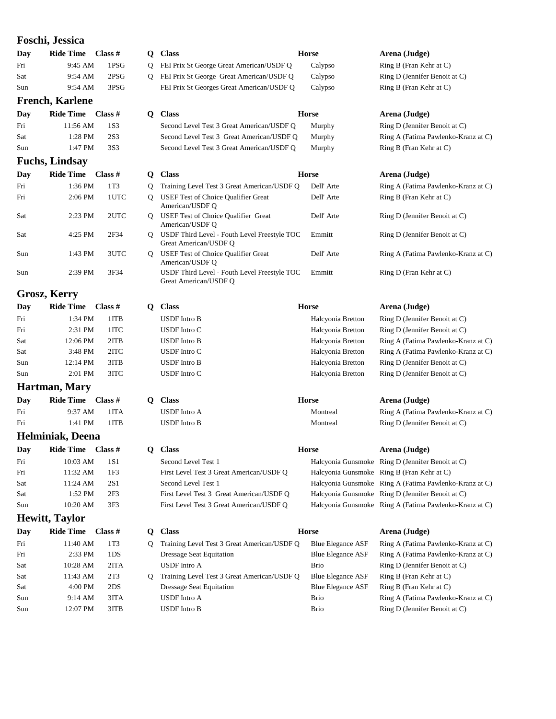### **Foschi, Jessica**

| Day | Ride Time $\blacksquare$ Class # |      |
|-----|----------------------------------|------|
| Fri | $9:45$ AM                        | 1PSG |
| Sat | $9:54$ AM                        | 2PSG |
| Sun | $9:54$ AM                        | 3PSG |

### **French, Karlene**

| Dav | Ride Time Class # |     |
|-----|-------------------|-----|
| Fri | 11:56 AM          | 1S3 |
| Sat | $1:28$ PM         | 2S3 |
| Sun | 1:47 PM           | 3S3 |

### **Fuchs, Lindsay**

| Day | Ride Time Class # |                   |
|-----|-------------------|-------------------|
| Fri | $1:36$ PM         | 1T <sub>3</sub>   |
| Fri |                   | $2:06$ PM $1$ UTC |
| Sat | $2:23$ PM         | -2UTC             |
| Sat | $4:25$ PM         | 2F34              |
| Sun | $1:43$ PM         | 3UTC              |
| Sun | $2:39$ PM         | 3F34              |

### **Grosz, Kerry**

| Day | Ride Time $\blacksquare$ Class # |                  |
|-----|----------------------------------|------------------|
| Fri |                                  | 1:34 PM 1ITE     |
| Fri |                                  | 2:31 PM 1ITC     |
| Sat | 12:06 PM 2ITE                    |                  |
| Sat |                                  | $3:48$ PM $2ITC$ |
| Sun | $12:14 \text{ PM}$               | 3ITE             |
| Sun |                                  | 2:01 PM 3ITC     |
|     | $TT = 1.1$ $T = 1.1$             |                  |

### **Hartman, Mary**

| Day | Ride Time $\blacksquare$ Class # |       |
|-----|----------------------------------|-------|
| Fri | $9:37$ AM                        | 1 ITA |
|     |                                  |       |

### **Helminiak, Deena**

| Day | Ride Time Class # |                 |
|-----|-------------------|-----------------|
| Fri | $10:03$ AM        | 1S1             |
| Fri | 11:32 AM          | 1F <sub>3</sub> |
| Sat | $11:24$ AM        | 2S1             |
| Sat | $1:52$ PM         | 2F <sub>3</sub> |
| Sun | $10:20$ AM        | 3F3             |

### **Hewitt, Taylor**

| Day | Ride Time Class # |                 |
|-----|-------------------|-----------------|
| Fri | 11:40 AM          | 1T <sub>3</sub> |
| Fri | $2:33$ PM         | 1DS             |
| Sat | $10:28$ AM        | 2ITA            |
| Sat | $11:43$ AM        | 2T <sub>3</sub> |
| Sat | $4:00$ PM         | 2DS             |
| Sun | $9:14$ AM         | 3ITA            |
| Sun | $12:07$ PM        | 3ITB            |

| Day | <b>Ride Time</b>      | Class $#$       | Q            | <b>Class</b>                                                          | <b>Horse</b>             | Arena (Judge)                                          |
|-----|-----------------------|-----------------|--------------|-----------------------------------------------------------------------|--------------------------|--------------------------------------------------------|
| Fri | 9:45 AM               | 1PSG            | O            | FEI Prix St George Great American/USDF Q                              | Calypso                  | Ring B (Fran Kehr at C)                                |
| Sat | 9:54 AM               | 2PSG            |              | Q FEI Prix St George Great American/USDF Q                            | Calypso                  | Ring D (Jennifer Benoit at C)                          |
| Sun | 9:54 AM               | 3PSG            |              | FEI Prix St Georges Great American/USDF Q                             | Calypso                  | Ring B (Fran Kehr at C)                                |
|     | French, Karlene       |                 |              |                                                                       |                          |                                                        |
| Day | <b>Ride Time</b>      | Class $#$       | Q            | <b>Class</b>                                                          | <b>Horse</b>             | Arena (Judge)                                          |
| Fri | 11:56 AM              | 1S3             |              | Second Level Test 3 Great American/USDF Q                             | Murphy                   | Ring D (Jennifer Benoit at C)                          |
| Sat | 1:28 PM               | 2S3             |              | Second Level Test 3 Great American/USDF Q                             | Murphy                   | Ring A (Fatima Pawlenko-Kranz at C)                    |
| Sun | 1:47 PM               | 3S3             |              | Second Level Test 3 Great American/USDF Q                             | Murphy                   | Ring B (Fran Kehr at C)                                |
|     | <b>Fuchs, Lindsay</b> |                 |              |                                                                       |                          |                                                        |
| Day | <b>Ride Time</b>      | Class $#$       | Q            | <b>Class</b>                                                          | <b>Horse</b>             | Arena (Judge)                                          |
| Fri | 1:36 PM               | 1T <sub>3</sub> | Q            | Training Level Test 3 Great American/USDF Q                           | Dell' Arte               | Ring A (Fatima Pawlenko-Kranz at C)                    |
| Fri | 2:06 PM               | 1UTC            | Q            | USEF Test of Choice Qualifier Great                                   | Dell' Arte               | Ring B (Fran Kehr at C)                                |
|     |                       |                 |              | American/USDF Q                                                       |                          |                                                        |
| Sat | 2:23 PM               | 2UTC            | Q            | USEF Test of Choice Qualifier Great<br>American/USDF Q                | Dell' Arte               | Ring D (Jennifer Benoit at C)                          |
| Sat | 4:25 PM               | 2F34            | Q.           | USDF Third Level - Fouth Level Freestyle TOC<br>Great American/USDF Q | Emmitt                   | Ring D (Jennifer Benoit at C)                          |
| Sun | 1:43 PM               | 3UTC            | Q            | USEF Test of Choice Qualifier Great<br>American/USDF Q                | Dell' Arte               | Ring A (Fatima Pawlenko-Kranz at C)                    |
| Sun | 2:39 PM               | 3F34            |              | USDF Third Level - Fouth Level Freestyle TOC<br>Great American/USDF Q | Emmitt                   | Ring D (Fran Kehr at C)                                |
|     | Grosz, Kerry          |                 |              |                                                                       |                          |                                                        |
| Day | <b>Ride Time</b>      | Class $#$       |              | Q Class                                                               | <b>Horse</b>             | Arena (Judge)                                          |
| Fri | 1:34 PM               | 1ITB            |              | USDF Intro B                                                          | Halcyonia Bretton        | Ring D (Jennifer Benoit at C)                          |
| Fri | 2:31 PM               | 1ITC            |              | USDF Intro C                                                          | Halcyonia Bretton        | Ring D (Jennifer Benoit at C)                          |
| Sat | 12:06 PM              | 2ITB            |              | USDF Intro B                                                          | Halcyonia Bretton        | Ring A (Fatima Pawlenko-Kranz at C)                    |
| Sat | 3:48 PM               | 2ITC            |              | USDF Intro C                                                          | Halcyonia Bretton        | Ring A (Fatima Pawlenko-Kranz at C)                    |
| Sun | 12:14 PM              | 3ITB            |              | <b>USDF</b> Intro B                                                   | Halcyonia Bretton        | Ring D (Jennifer Benoit at C)                          |
| Sun | 2:01 PM               | 3ITC            |              | USDF Intro C                                                          | Halcyonia Bretton        | Ring D (Jennifer Benoit at C)                          |
|     | Hartman, Mary         |                 |              |                                                                       |                          |                                                        |
| Day | <b>Ride Time</b>      | Class $#$       | $\mathbf{Q}$ | <b>Class</b>                                                          | <b>Horse</b>             | Arena (Judge)                                          |
| Fri | 9:37 AM               | 1ITA            |              | <b>USDF</b> Intro A                                                   | Montreal                 | Ring A (Fatima Pawlenko-Kranz at C)                    |
| Fri | 1:41 PM               | 1ITB            |              | <b>USDF</b> Intro B                                                   | Montreal                 | Ring D (Jennifer Benoit at C)                          |
|     | Helminiak, Deena      |                 |              |                                                                       |                          |                                                        |
| Day | Ride Time Class #     |                 | О.           | <b>Class</b>                                                          | <b>Horse</b>             | Arena (Judge)                                          |
| Fri | 10:03 AM              | 1S1             |              | Second Level Test 1                                                   |                          | Halcyonia Gunsmoke Ring D (Jennifer Benoit at C)       |
| Fri | 11:32 AM              | 1F3             |              | First Level Test 3 Great American/USDF Q                              |                          | Halcyonia Gunsmoke Ring B (Fran Kehr at C)             |
| Sat | 11:24 AM              | 2S1             |              | Second Level Test 1                                                   |                          | Halcyonia Gunsmoke Ring A (Fatima Pawlenko-Kranz at C) |
| Sat | 1:52 PM               | 2F3             |              | First Level Test 3 Great American/USDF Q                              |                          | Halcyonia Gunsmoke Ring D (Jennifer Benoit at C)       |
| Sun | 10:20 AM              | 3F3             |              | First Level Test 3 Great American/USDF Q                              |                          | Halcyonia Gunsmoke Ring A (Fatima Pawlenko-Kranz at C) |
|     | <b>Hewitt, Taylor</b> |                 |              |                                                                       |                          |                                                        |
| Day | <b>Ride Time</b>      | Class $#$       | Q            | <b>Class</b>                                                          | <b>Horse</b>             | Arena (Judge)                                          |
| Fri | 11:40 AM              | 1T <sub>3</sub> | Q            | Training Level Test 3 Great American/USDF Q                           | <b>Blue Elegance ASF</b> | Ring A (Fatima Pawlenko-Kranz at C)                    |
| Fri | 2:33 PM               | 1DS             |              | <b>Dressage Seat Equitation</b>                                       | <b>Blue Elegance ASF</b> | Ring A (Fatima Pawlenko-Kranz at C)                    |
| Sat | 10:28 AM              | 2ITA            |              | <b>USDF</b> Intro A                                                   | Brio                     | Ring D (Jennifer Benoit at C)                          |
| Sat | 11:43 AM              | 2T <sub>3</sub> | Q            | Training Level Test 3 Great American/USDF Q                           | <b>Blue Elegance ASF</b> | Ring B (Fran Kehr at C)                                |
| Sat | 4:00 PM               | 2DS             |              | Dressage Seat Equitation                                              | <b>Blue Elegance ASF</b> | Ring B (Fran Kehr at C)                                |
| Sun | 9:14 AM               | 3ITA            |              | <b>USDF</b> Intro A                                                   | Brio                     | Ring A (Fatima Pawlenko-Kranz at C)                    |
| Sun | 12:07 PM              | 3ITB            |              | <b>USDF</b> Intro B                                                   | <b>Brio</b>              | Ring D (Jennifer Benoit at C)                          |
|     |                       |                 |              |                                                                       |                          |                                                        |

| Ring D (Jennifer Benoit at C)       |
|-------------------------------------|
| Ring D (Jennifer Benoit at C)       |
| Ring A (Fatima Pawlenko-Kranz at C) |
| Ring A (Fatima Pawlenko-Kranz at C) |
| Ring D (Jennifer Benoit at C)       |
| Ring D (Jennifer Benoit at C)       |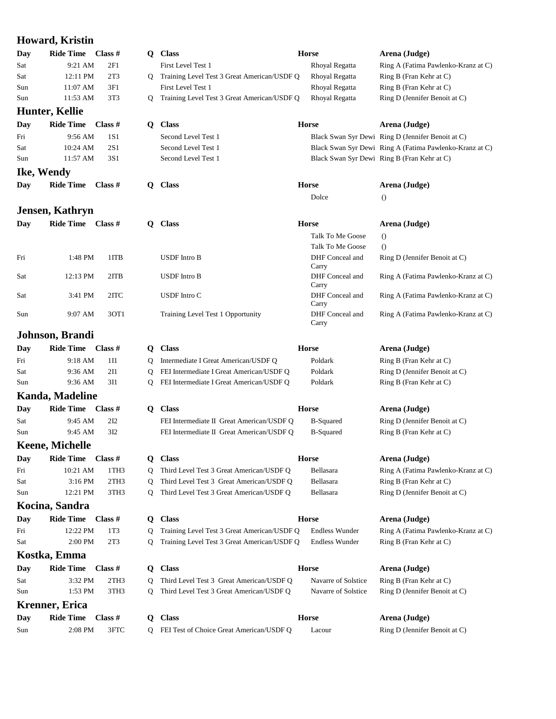# **Howard, Kristin**

| Day | <b>Ride Time</b>  | Class #          | Q. | <b>Class</b>                                | Horse                             | Arena (Judge)                                           |
|-----|-------------------|------------------|----|---------------------------------------------|-----------------------------------|---------------------------------------------------------|
|     | 9:21 AM           | 2F1              |    |                                             |                                   |                                                         |
| Sat |                   |                  |    | First Level Test 1                          | Rhoyal Regatta                    | Ring A (Fatima Pawlenko-Kranz at C)                     |
| Sat | 12:11 PM          | 2T <sub>3</sub>  | Q  | Training Level Test 3 Great American/USDF Q | Rhoyal Regatta                    | Ring B (Fran Kehr at C)                                 |
| Sun | 11:07 AM          | 3F1              |    | First Level Test 1                          | Rhoyal Regatta                    | Ring B (Fran Kehr at C)                                 |
| Sun | 11:53 AM          | 3T <sub>3</sub>  | Q  | Training Level Test 3 Great American/USDF Q | Rhoyal Regatta                    | Ring D (Jennifer Benoit at C)                           |
|     | Hunter, Kellie    |                  |    |                                             |                                   |                                                         |
| Day | <b>Ride Time</b>  | Class $#$        | Q  | <b>Class</b>                                | <b>Horse</b>                      | Arena (Judge)                                           |
| Fri | 9:56 AM           | 1S1              |    | Second Level Test 1                         |                                   | Black Swan Syr Dewi Ring D (Jennifer Benoit at C)       |
| Sat | 10:24 AM          | 2S1              |    | Second Level Test 1                         |                                   | Black Swan Syr Dewi Ring A (Fatima Pawlenko-Kranz at C) |
| Sun | 11:57 AM          | 3S1              |    | Second Level Test 1                         |                                   | Black Swan Syr Dewi Ring B (Fran Kehr at C)             |
|     | Ike, Wendy        |                  |    |                                             |                                   |                                                         |
|     |                   |                  |    |                                             |                                   |                                                         |
| Day | <b>Ride Time</b>  | Class $#$        | Q. | <b>Class</b>                                | <b>Horse</b>                      | Arena (Judge)                                           |
|     |                   |                  |    |                                             | Dolce                             | $\theta$                                                |
|     | Jensen, Kathryn   |                  |    |                                             |                                   |                                                         |
| Day | Ride Time Class # |                  | Q  | <b>Class</b>                                | <b>Horse</b>                      | Arena (Judge)                                           |
|     |                   |                  |    |                                             | Talk To Me Goose                  | $\theta$                                                |
|     |                   |                  |    |                                             | Talk To Me Goose                  | $\Omega$                                                |
| Fri | 1:48 PM           | 1ITB             |    | USDF Intro B                                | DHF Conceal and                   | Ring D (Jennifer Benoit at C)                           |
| Sat | 12:13 PM          | 2ITB             |    | USDF Intro B                                | Carry<br>DHF Conceal and          | Ring A (Fatima Pawlenko-Kranz at C)                     |
| Sat | 3:41 PM           | 2ITC             |    | USDF Intro C                                | Carry<br>DHF Conceal and          | Ring A (Fatima Pawlenko-Kranz at C)                     |
| Sun | 9:07 AM           | 30T1             |    | Training Level Test 1 Opportunity           | Carry<br>DHF Conceal and<br>Carry | Ring A (Fatima Pawlenko-Kranz at C)                     |
|     | Johnson, Brandi   |                  |    |                                             |                                   |                                                         |
| Day | <b>Ride Time</b>  | Class $#$        | Q  | <b>Class</b>                                | <b>Horse</b>                      | Arena (Judge)                                           |
| Fri | 9:18 AM           | 1I1              | Q  | Intermediate I Great American/USDF Q        | Poldark                           | Ring B (Fran Kehr at C)                                 |
| Sat | 9:36 AM           | 2I1              | Q  | FEI Intermediate I Great American/USDF Q    | Poldark                           | Ring D (Jennifer Benoit at C)                           |
| Sun | 9:36 AM           | 3I1              | Q  | FEI Intermediate I Great American/USDF Q    | Poldark                           | Ring B (Fran Kehr at C)                                 |
|     | Kanda, Madeline   |                  |    |                                             |                                   |                                                         |
|     | <b>Ride Time</b>  | Class $#$        |    | <b>Class</b>                                | <b>Horse</b>                      | Arena (Judge)                                           |
| Day |                   |                  | Q. |                                             |                                   |                                                         |
| Sat | 9:45 AM           | 2I2              |    | FEI Intermediate II Great American/USDF Q   | <b>B-Squared</b>                  | Ring D (Jennifer Benoit at C)                           |
| Sun | 9:45 AM           | 3 <sub>I2</sub>  |    | FEI Intermediate II Great American/USDF Q   | <b>B-Squared</b>                  | Ring B (Fran Kehr at C)                                 |
|     | Keene, Michelle   |                  |    |                                             |                                   |                                                         |
| Day | Ride Time Class # |                  | Q  | <b>Class</b>                                | <b>Horse</b>                      | Arena (Judge)                                           |
| Fri | 10:21 AM          | 1TH3             | Q  | Third Level Test 3 Great American/USDF Q    | Bellasara                         | Ring A (Fatima Pawlenko-Kranz at C)                     |
| Sat | 3:16 PM           | 2TH3             | Q  | Third Level Test 3 Great American/USDF Q    | Bellasara                         | Ring B (Fran Kehr at C)                                 |
| Sun | 12:21 PM          | 3TH <sub>3</sub> | Q  | Third Level Test 3 Great American/USDF Q    | Bellasara                         | Ring D (Jennifer Benoit at C)                           |
|     | Kocina, Sandra    |                  |    |                                             |                                   |                                                         |
|     |                   |                  |    |                                             |                                   |                                                         |
| Day | <b>Ride Time</b>  | Class $#$        | Q. | <b>Class</b>                                | <b>Horse</b>                      | Arena (Judge)                                           |
| Fri | 12:22 PM          | 1T <sub>3</sub>  | Q  | Training Level Test 3 Great American/USDF Q | <b>Endless Wunder</b>             | Ring A (Fatima Pawlenko-Kranz at C)                     |
| Sat | 2:00 PM           | 2T3              | Q  | Training Level Test 3 Great American/USDF Q | <b>Endless Wunder</b>             | Ring B (Fran Kehr at C)                                 |
|     | Kostka, Emma      |                  |    |                                             |                                   |                                                         |
| Day | <b>Ride Time</b>  | Class $#$        | Q  | <b>Class</b>                                | Horse                             | Arena (Judge)                                           |
| Sat | 3:32 PM           | 2TH3             | Q  | Third Level Test 3 Great American/USDF Q    | Navarre of Solstice               | Ring B (Fran Kehr at C)                                 |
| Sun | 1:53 PM           | 3TH <sub>3</sub> | Q  | Third Level Test 3 Great American/USDF Q    | Navarre of Solstice               | Ring D (Jennifer Benoit at C)                           |
|     |                   |                  |    |                                             |                                   |                                                         |
|     | Krenner, Erica    |                  |    |                                             |                                   |                                                         |
| Day | <b>Ride Time</b>  | Class $#$        | Q  | <b>Class</b>                                | <b>Horse</b>                      | Arena (Judge)                                           |
| Sun | 2:08 PM           | 3FTC             | Q  | FEI Test of Choice Great American/USDF Q    | Lacour                            | Ring D (Jennifer Benoit at C)                           |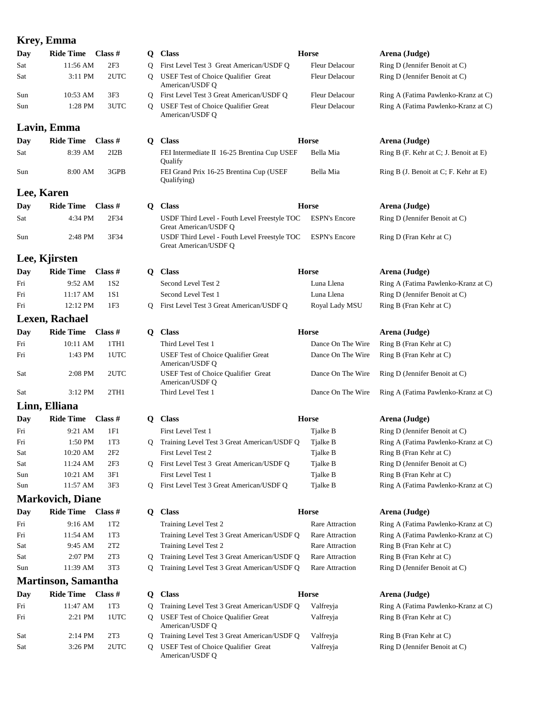### **Krey, Emma**

| Day | Ride Time Class # |                 |
|-----|-------------------|-----------------|
| Sat | $11:56$ AM        | 2F <sub>3</sub> |
| Sat | $3:11$ PM         | 2UTC            |
| Sun | $10:53$ AM        | 3F3             |
| Sun | 1:28 PM           | 3UTC            |
|     |                   |                 |

### **Lavin, Emma**

| Day        | Ride Time Class # |      |
|------------|-------------------|------|
| <b>Sat</b> | 8:39 AM           | 212B |
| Sun        | 8:00 AM           | 3GPB |

### **Lee, Karen**

| Day | Ride Time Class # |                  |
|-----|-------------------|------------------|
| Sat |                   | $4:34$ PM $2F34$ |
| Sun | $2:48$ PM         | 3F34             |

### **Lee, Kjirsten**

| Day | Ride Time Class #   |      |
|-----|---------------------|------|
| Fri | $9:52 \, \text{AM}$ | -1S2 |
| Fri | $11:17 \text{ AM}$  | -1S1 |

### **Lexen, Rachael**

| Day | Ride Time Class # |      |
|-----|-------------------|------|
| Fri | 10:11 AM          | 1TH1 |
| Fri | $1:43$ PM $1$ UTC |      |
| Sat | $2:08$ PM         | 2UTC |
| Sat | $3:12$ PM         | 2TH1 |

### **Linn, Elliana**

| Day | Ride Time Class # |                 |
|-----|-------------------|-----------------|
| Fri | 9:21 AM           | 1F1             |
| Fri | 1:50 PM           | 1T <sub>3</sub> |
| Sat | 10:20 AM          | 2F2             |
| Sat | $11:24$ AM        | 2F <sub>3</sub> |
| Sun | 10:21 AM          | 3F1             |
| Sun | $11:57$ AM        | 3F3             |

### **Markovich, Diane**

| Day | Ride Time $\blacksquare$ Class # |                 |  |
|-----|----------------------------------|-----------------|--|
| Fri | $9:16$ AM                        | 1T2             |  |
| Fri | $11:54$ AM                       | 1T <sub>3</sub> |  |
| Sat | $9:45$ AM                        | 2T2             |  |
| Sat | $2:07$ PM                        | 2T <sub>3</sub> |  |
| Sun | 11:39 AM                         | 3T <sub>3</sub> |  |
|     |                                  |                 |  |

### **Martinson, Samantha**

| Day | Ride Time Class # |                 |
|-----|-------------------|-----------------|
| Fri | $11:47$ AM        | 1T <sub>3</sub> |
| Fri | $2:21$ PM         | 1UTC            |
| Sat | $2:14$ PM         | 2T <sub>3</sub> |
| Sat | $3:26$ PM         | 2UTC            |

| Day | <b>Ride Time</b>           | Class $#$       |              | Q Class                                                               | <b>Horse</b>           | Arena (Judge)                         |
|-----|----------------------------|-----------------|--------------|-----------------------------------------------------------------------|------------------------|---------------------------------------|
| Sat | 11:56 AM                   | 2F3             | Q            | First Level Test 3 Great American/USDF Q                              | <b>Fleur Delacour</b>  | Ring D (Jennifer Benoit at C)         |
| Sat | 3:11 PM                    | 2UTC            | O            | <b>USEF</b> Test of Choice Qualifier Great<br>American/USDF Q         | <b>Fleur Delacour</b>  | Ring D (Jennifer Benoit at C)         |
| Sun | 10:53 AM                   | 3F3             | Q            | First Level Test 3 Great American/USDF Q                              | Fleur Delacour         | Ring A (Fatima Pawlenko-Kranz at C)   |
| Sun | 1:28 PM                    | 3UTC            | Q            | USEF Test of Choice Qualifier Great<br>American/USDF Q                | <b>Fleur Delacour</b>  | Ring A (Fatima Pawlenko-Kranz at C)   |
|     | Lavin, Emma                |                 |              |                                                                       |                        |                                       |
| Day | <b>Ride Time</b>           | Class $#$       | $\mathbf{Q}$ | <b>Class</b>                                                          | <b>Horse</b>           | Arena (Judge)                         |
| Sat | 8:39 AM                    | 2I2B            |              | FEI Intermediate II 16-25 Brentina Cup USEF<br>Qualify                | Bella Mia              | Ring B (F. Kehr at C; J. Benoit at E) |
| Sun | 8:00 AM                    | 3GPB            |              | FEI Grand Prix 16-25 Brentina Cup (USEF<br>Qualifying)                | Bella Mia              | Ring B (J. Benoit at C; F. Kehr at E) |
|     | Lee, Karen                 |                 |              |                                                                       |                        |                                       |
| Day | <b>Ride Time</b>           | Class $#$       | $\mathbf{Q}$ | <b>Class</b>                                                          | <b>Horse</b>           | Arena (Judge)                         |
| Sat | 4:34 PM                    | 2F34            |              | USDF Third Level - Fouth Level Freestyle TOC<br>Great American/USDF Q | <b>ESPN's Encore</b>   | Ring D (Jennifer Benoit at C)         |
| Sun | 2:48 PM                    | 3F34            |              | USDF Third Level - Fouth Level Freestyle TOC<br>Great American/USDF Q | <b>ESPN's Encore</b>   | Ring D (Fran Kehr at C)               |
|     | Lee, Kjirsten              |                 |              |                                                                       |                        |                                       |
| Day | <b>Ride Time</b>           | Class $#$       | $\mathbf{Q}$ | <b>Class</b>                                                          | <b>Horse</b>           | Arena (Judge)                         |
| Fri | 9:52 AM                    | 1S <sub>2</sub> |              | Second Level Test 2                                                   | Luna Llena             | Ring A (Fatima Pawlenko-Kranz at C)   |
| Fri | 11:17 AM                   | 1S1             |              | Second Level Test 1                                                   | Luna Llena             | Ring D (Jennifer Benoit at C)         |
| Fri | 12:12 PM                   | 1F3             | Q.           | First Level Test 3 Great American/USDF Q                              | Royal Lady MSU         | Ring B (Fran Kehr at C)               |
|     | Lexen, Rachael             |                 |              |                                                                       |                        |                                       |
| Day | <b>Ride Time</b>           | Class $#$       | $\mathbf{Q}$ | <b>Class</b>                                                          | <b>Horse</b>           | Arena (Judge)                         |
| Fri | 10:11 AM                   | 1TH1            |              | Third Level Test 1                                                    | Dance On The Wire      | Ring B (Fran Kehr at C)               |
| Fri | 1:43 PM                    | 1UTC            |              | USEF Test of Choice Qualifier Great<br>American/USDF Q                | Dance On The Wire      | Ring B (Fran Kehr at C)               |
| Sat | $2:08$ PM                  | 2UTC            |              | USEF Test of Choice Qualifier Great<br>American/USDF Q                | Dance On The Wire      | Ring D (Jennifer Benoit at C)         |
| Sat | 3:12 PM                    | 2TH1            |              | Third Level Test 1                                                    | Dance On The Wire      | Ring A (Fatima Pawlenko-Kranz at C)   |
|     | Linn, Elliana              |                 |              |                                                                       |                        |                                       |
| Day | <b>Ride Time</b>           | Class $#$       | Q.           | <b>Class</b>                                                          | <b>Horse</b>           | Arena (Judge)                         |
| Fri | 9:21 AM                    | 1F1             |              | First Level Test 1                                                    | Tjalke B               | Ring D (Jennifer Benoit at C)         |
| Fri | 1:50 PM                    | 1T <sub>3</sub> | Q.           | Training Level Test 3 Great American/USDF Q                           | Tjalke B               | Ring A (Fatima Pawlenko-Kranz at C)   |
| Sat | 10:20 AM                   | 2F2             |              | First Level Test 2                                                    | Tjalke B               | Ring B (Fran Kehr at C)               |
| Sat | 11:24 AM                   | 2F <sub>3</sub> |              | Q First Level Test 3 Great American/USDF Q                            | Tjalke B               | Ring D (Jennifer Benoit at C)         |
| Sun | 10:21 AM                   | 3F1             |              | First Level Test 1                                                    | Tjalke B               | Ring B (Fran Kehr at C)               |
| Sun | 11:57 AM                   | 3F3             | Q.           | First Level Test 3 Great American/USDF Q                              | Tjalke B               | Ring A (Fatima Pawlenko-Kranz at C)   |
|     | <b>Markovich, Diane</b>    |                 |              |                                                                       |                        |                                       |
| Day | <b>Ride Time</b>           | Class #         |              | Q Class                                                               | <b>Horse</b>           | Arena (Judge)                         |
| Fri | 9:16 AM                    | 1T <sub>2</sub> |              | Training Level Test 2                                                 | <b>Rare Attraction</b> | Ring A (Fatima Pawlenko-Kranz at C)   |
| Fri | 11:54 AM                   | 1T <sub>3</sub> |              | Training Level Test 3 Great American/USDF Q                           | <b>Rare Attraction</b> | Ring A (Fatima Pawlenko-Kranz at C)   |
| Sat | 9:45 AM                    | 2T2             |              | Training Level Test 2                                                 | <b>Rare Attraction</b> | Ring B (Fran Kehr at C)               |
| Sat | 2:07 PM                    | 2T <sub>3</sub> | Q            | Training Level Test 3 Great American/USDF Q                           | Rare Attraction        | Ring B (Fran Kehr at C)               |
| Sun | 11:39 AM                   | 3T3             | Q            | Training Level Test 3 Great American/USDF Q                           | <b>Rare Attraction</b> | Ring D (Jennifer Benoit at C)         |
|     | <b>Martinson, Samantha</b> |                 |              |                                                                       |                        |                                       |
| Day | Ride Time Class #          |                 | Q.           | <b>Class</b>                                                          | <b>Horse</b>           | Arena (Judge)                         |
| Fri | 11:47 AM                   | 1T3             | Q            | Training Level Test 3 Great American/USDF Q                           | Valfreyja              | Ring A (Fatima Pawlenko-Kranz at C)   |
| Fri | 2:21 PM                    | 1UTC            | Q            | <b>USEF Test of Choice Qualifier Great</b><br>American/USDF Q         | Valfreyja              | Ring B (Fran Kehr at C)               |
| Sat | 2:14 PM                    | 2T3             | Q            | Training Level Test 3 Great American/USDF Q                           | Valfreyja              | Ring B (Fran Kehr at C)               |
| Sat | 3:26 PM                    | 2UTC            | Q.           | USEF Test of Choice Qualifier Great<br>American/USDF Q                | Valfreyja              | Ring D (Jennifer Benoit at C)         |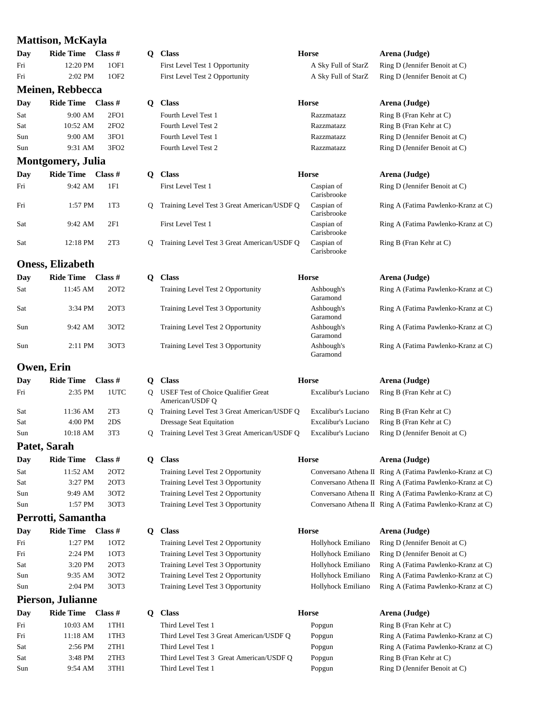### **Mattison, McKayla**

|     | Matuson, McKayia          |                          |   |                                                               |                           |                                                          |
|-----|---------------------------|--------------------------|---|---------------------------------------------------------------|---------------------------|----------------------------------------------------------|
| Day | <b>Ride Time</b>          | Class $#$                | Q | <b>Class</b>                                                  | <b>Horse</b>              | Arena (Judge)                                            |
| Fri | 12:20 PM                  | 10F1                     |   | First Level Test 1 Opportunity                                | A Sky Full of StarZ       | Ring D (Jennifer Benoit at C)                            |
| Fri | 2:02 PM                   | 10F <sub>2</sub>         |   | First Level Test 2 Opportunity                                | A Sky Full of StarZ       | Ring D (Jennifer Benoit at C)                            |
|     | Meinen, Rebbecca          |                          |   |                                                               |                           |                                                          |
| Day | <b>Ride Time</b>          | Class $#$                | Q | <b>Class</b>                                                  | <b>Horse</b>              | Arena (Judge)                                            |
| Sat | 9:00 AM                   | 2FO1                     |   | Fourth Level Test 1                                           | Razzmatazz                | Ring B (Fran Kehr at C)                                  |
| Sat | 10:52 AM                  | 2FO2                     |   | Fourth Level Test 2                                           | Razzmatazz                | Ring B (Fran Kehr at C)                                  |
| Sun | 9:00 AM                   | 3FO1                     |   | Fourth Level Test 1                                           | Razzmatazz                | Ring D (Jennifer Benoit at C)                            |
| Sun | 9:31 AM                   | 3FO <sub>2</sub>         |   | Fourth Level Test 2                                           | Razzmatazz                | Ring D (Jennifer Benoit at C)                            |
|     | <b>Montgomery</b> , Julia |                          |   |                                                               |                           |                                                          |
| Day | <b>Ride Time</b>          | Class $#$                | Q | <b>Class</b>                                                  | <b>Horse</b>              | Arena (Judge)                                            |
| Fri | 9:42 AM                   | 1F1                      |   | First Level Test 1                                            | Caspian of<br>Carisbrooke | Ring D (Jennifer Benoit at C)                            |
| Fri | 1:57 PM                   | 1T <sub>3</sub>          | Q | Training Level Test 3 Great American/USDF Q                   | Caspian of<br>Carisbrooke | Ring A (Fatima Pawlenko-Kranz at C)                      |
| Sat | 9:42 AM                   | 2F1                      |   | First Level Test 1                                            | Caspian of<br>Carisbrooke | Ring A (Fatima Pawlenko-Kranz at C)                      |
| Sat | 12:18 PM                  | 2T <sub>3</sub>          | Q | Training Level Test 3 Great American/USDF Q                   | Caspian of<br>Carisbrooke | Ring B (Fran Kehr at C)                                  |
|     | <b>Oness, Elizabeth</b>   |                          |   |                                                               |                           |                                                          |
| Day | <b>Ride Time</b>          | Class $#$                | Q | <b>Class</b>                                                  | <b>Horse</b>              | Arena (Judge)                                            |
| Sat | 11:45 AM                  | 2OT2                     |   | Training Level Test 2 Opportunity                             | Ashbough's<br>Garamond    | Ring A (Fatima Pawlenko-Kranz at C)                      |
| Sat | 3:34 PM                   | 20T3                     |   | Training Level Test 3 Opportunity                             | Ashbough's<br>Garamond    | Ring A (Fatima Pawlenko-Kranz at C)                      |
| Sun | 9:42 AM                   | 3OT <sub>2</sub>         |   | Training Level Test 2 Opportunity                             | Ashbough's<br>Garamond    | Ring A (Fatima Pawlenko-Kranz at C)                      |
| Sun | 2:11 PM                   | 3OT3                     |   | Training Level Test 3 Opportunity                             | Ashbough's<br>Garamond    | Ring A (Fatima Pawlenko-Kranz at C)                      |
|     | Owen, Erin                |                          |   |                                                               |                           |                                                          |
| Day | <b>Ride Time</b>          | Class $#$                | Q | <b>Class</b>                                                  | <b>Horse</b>              | Arena (Judge)                                            |
| Fri | 2:35 PM                   | 1UTC                     | Q | <b>USEF Test of Choice Qualifier Great</b><br>American/USDF Q | Excalibur's Luciano       | Ring B (Fran Kehr at C)                                  |
| Sat | 11:36 AM                  | 2T <sub>3</sub>          | Q | Training Level Test 3 Great American/USDF Q                   | Excalibur's Luciano       | Ring B (Fran Kehr at C)                                  |
| Sat | 4:00 PM                   | 2DS                      |   | <b>Dressage Seat Equitation</b>                               | Excalibur's Luciano       | Ring B (Fran Kehr at C)                                  |
| Sun | 10:18 AM                  | 3T3                      | Q | Training Level Test 3 Great American/USDF Q                   | Excalibur's Luciano       | Ring D (Jennifer Benoit at C)                            |
|     | Patet, Sarah              |                          |   |                                                               |                           |                                                          |
| Day | <b>Ride Time</b>          | Class $#$                | Q | <b>Class</b>                                                  | Horse                     | Arena (Judge)                                            |
| Sat | 11:52 AM                  | 2OT2                     |   | Training Level Test 2 Opportunity                             |                           | Conversano Athena II Ring A (Fatima Pawlenko-Kranz at C) |
| Sat | 3:27 PM                   | 2OT3                     |   | Training Level Test 3 Opportunity                             |                           | Conversano Athena II Ring A (Fatima Pawlenko-Kranz at C) |
| Sun | 9:49 AM                   | 3OT <sub>2</sub>         |   | Training Level Test 2 Opportunity                             |                           | Conversano Athena II Ring A (Fatima Pawlenko-Kranz at C) |
| Sun | 1:57 PM                   | 3OT3                     |   | Training Level Test 3 Opportunity                             |                           | Conversano Athena II Ring A (Fatima Pawlenko-Kranz at C) |
|     | Perrotti, Samantha        |                          |   |                                                               |                           |                                                          |
| Day | Ride Time Class #         |                          | Q | <b>Class</b>                                                  | Horse                     | Arena (Judge)                                            |
| Fri | 1:27 PM                   | 1OT <sub>2</sub>         |   | Training Level Test 2 Opportunity                             | Hollyhock Emiliano        | Ring D (Jennifer Benoit at C)                            |
| Fri | 2:24 PM                   | 1OT3                     |   | Training Level Test 3 Opportunity                             | Hollyhock Emiliano        | Ring D (Jennifer Benoit at C)                            |
| Sat | 3:20 PM                   | 2OT3                     |   | Training Level Test 3 Opportunity                             | Hollyhock Emiliano        | Ring A (Fatima Pawlenko-Kranz at C)                      |
| Sun | 9:35 AM                   | 3OT2                     |   | Training Level Test 2 Opportunity                             | Hollyhock Emiliano        | Ring A (Fatima Pawlenko-Kranz at C)                      |
| Sun | 2:04 PM                   | 3OT3                     |   | Training Level Test 3 Opportunity                             | Hollyhock Emiliano        | Ring A (Fatima Pawlenko-Kranz at C)                      |
|     | Pierson, Julianne         |                          |   |                                                               |                           |                                                          |
| Day | <b>Ride Time</b>          | Class $#$                | Q | <b>Class</b>                                                  | <b>Horse</b>              | Arena (Judge)                                            |
| Fri | 10:03 AM                  | $1\mathrm{T}\mathrm{H}1$ |   | Third Level Test 1                                            | Popgun                    | Ring B (Fran Kehr at C)                                  |
| Fri | 11:18 AM                  | 1TH3                     |   | Third Level Test 3 Great American/USDF Q                      | Popgun                    | Ring A (Fatima Pawlenko-Kranz at C)                      |
| Sat | 2:56 PM                   | 2TH1                     |   | Third Level Test 1                                            | Popgun                    | Ring A (Fatima Pawlenko-Kranz at C)                      |
| Sat | 3:48 PM                   | 2TH3                     |   | Third Level Test 3 Great American/USDF Q                      | Popgun                    | Ring B (Fran Kehr at C)                                  |

Sun 9:54 AM 3TH1 Third Level Test 1 Popgun Ring D (Jennifer Benoit at C)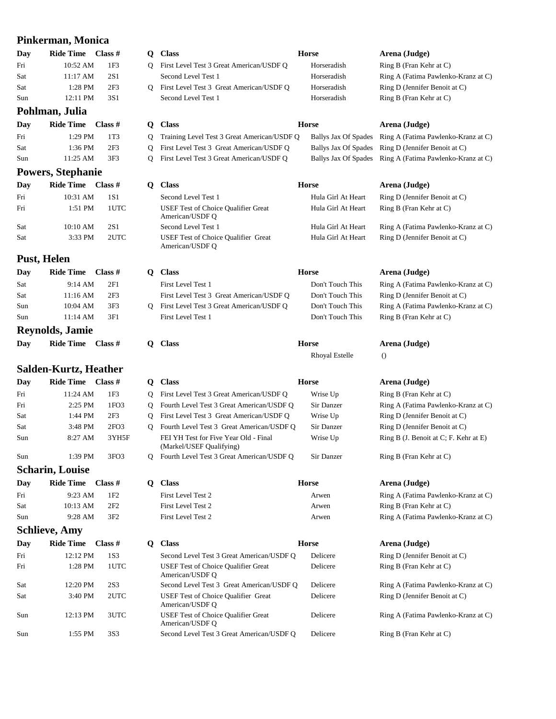### **Pinkerman, Monica**

| Day | Ride Time Class #    |                 |
|-----|----------------------|-----------------|
| Fri | $10:52 \, \text{AM}$ | 1F3             |
| Sat | $11:17$ AM           | 2S1             |
| Sat | 1:28 PM              | 2F <sub>3</sub> |
| Sun | $12:11$ PM           | 3S1             |
|     | Pohlman, Julia       |                 |

| T ATTENTIONS AND |                                  |     |  |
|------------------|----------------------------------|-----|--|
| Day              | Ride Time $\blacksquare$ Class # |     |  |
| Fri              | $1:29$ PM                        | 1T3 |  |
| Sat              | $1:36$ PM                        | 2F3 |  |
|                  |                                  |     |  |

### **Powers, Stephanie**

| Day | Ride Time Class # |                   |
|-----|-------------------|-------------------|
| Fri | 10:31 AM          | 1S1               |
| Fri |                   | $1:51$ PM $1$ UTC |
| Sat | 10:10 AM          | 2S1               |
| Sat | 3:33 PM           | 2UTC              |

### **Pust, Helen**

| Day                    | Ride Time Class # |                 |  |
|------------------------|-------------------|-----------------|--|
| Sat                    | $9:14$ AM         | 2F1             |  |
| Sat                    | 11:16 AM          | 2F <sub>3</sub> |  |
| Sun                    | $10:04$ AM        | 3F <sub>3</sub> |  |
| Sun                    | 11:14 AM          | 3F1             |  |
| <b>Reynolds, Jamie</b> |                   |                 |  |

# **Day Ride Time Class** # **Q**

# **Salden-Kurtz, Heather**

| Day | Ride Time $\blacksquare$ Class # |                 | v |
|-----|----------------------------------|-----------------|---|
| Fri | 11:24 AM                         | 1F3             | Q |
| Fri | $2:25$ PM                        | 1FO3            | Q |
| Sat | 1:44 PM                          | 2F <sub>3</sub> | Q |
| Sat | 3:48 PM                          | 2FO3            | Q |
| Sun | 8:27 AM                          | 3YH5F           |   |
| Sun | 1:39 PM                          | 3FO3            | Q |
|     | <b>Scharin, Louise</b>           |                 |   |
| Dav | Ride Time Class #                |                 |   |

| Fri | $9:23$ AM  | 1F2 |
|-----|------------|-----|
| Sat | $10:13$ AM | 2F2 |
| Sun | $9:28$ AM  | 3F2 |

# **Schlieve, Amy**

| Day | <b>Ride Time Class</b> $#$ |              |
|-----|----------------------------|--------------|
| Fri | $12:12 \text{ PM}$         | 1S3          |
| Fri |                            | 1:28 PM 1UTC |
| Sat | 12:20 PM                   | 2S3          |
| Sat | 3:40 PM                    | 2UTC         |
| Sun | 12:13 PM                   | 3UTC         |
| Sun | $1:55$ PM                  | 3S3          |

|            | Pınkerman, Monica      |                         |                |                                                                                       |                             |                                                                        |
|------------|------------------------|-------------------------|----------------|---------------------------------------------------------------------------------------|-----------------------------|------------------------------------------------------------------------|
| Day        | <b>Ride Time</b>       | Class $#$               | $\mathbf 0$    | <b>Class</b>                                                                          | <b>Horse</b>                | Arena (Judge)                                                          |
| Fri        | 10:52 AM               | 1F3                     |                | Q First Level Test 3 Great American/USDF Q                                            | Horseradish                 | Ring B (Fran Kehr at C)                                                |
| Sat        | 11:17 AM               | 2S1                     |                | Second Level Test 1                                                                   | Horseradish                 | Ring A (Fatima Pawlenko-Kranz at C)                                    |
| Sat        | 1:28 PM                | 2F <sub>3</sub>         |                | Q First Level Test 3 Great American/USDF Q                                            | Horseradish                 | Ring D (Jennifer Benoit at C)                                          |
| Sun        | 12:11 PM               | 3S1                     |                | Second Level Test 1                                                                   | Horseradish                 | Ring B (Fran Kehr at C)                                                |
|            | Pohlman, Julia         |                         |                |                                                                                       |                             |                                                                        |
| Day        | <b>Ride Time</b>       | Class $#$               | $\mathbf{Q}^-$ | <b>Class</b>                                                                          | <b>Horse</b>                | Arena (Judge)                                                          |
| Fri        | 1:29 PM                | 1T3                     | Q              | Training Level Test 3 Great American/USDF Q                                           | <b>Ballys Jax Of Spades</b> | Ring A (Fatima Pawlenko-Kranz at C)                                    |
| Sat        | 1:36 PM                | 2F <sub>3</sub>         | Q              | First Level Test 3 Great American/USDF Q                                              | <b>Ballys Jax Of Spades</b> | Ring D (Jennifer Benoit at C)                                          |
| Sun        | 11:25 AM               | 3F <sub>3</sub>         | Q              | First Level Test 3 Great American/USDF Q                                              | <b>Ballys Jax Of Spades</b> | Ring A (Fatima Pawlenko-Kranz at C)                                    |
|            | Powers, Stephanie      |                         |                |                                                                                       |                             |                                                                        |
| Day        | <b>Ride Time</b>       | Class $#$               | $\mathbf{Q}$   | <b>Class</b>                                                                          | <b>Horse</b>                | Arena (Judge)                                                          |
| Fri        | 10:31 AM               | 1S1                     |                | Second Level Test 1                                                                   | Hula Girl At Heart          | Ring D (Jennifer Benoit at C)                                          |
| Fri        | 1:51 PM                | 1UTC                    |                | <b>USEF Test of Choice Qualifier Great</b>                                            | Hula Girl At Heart          | Ring B (Fran Kehr at C)                                                |
|            |                        |                         |                | American/USDF Q                                                                       |                             |                                                                        |
| Sat        | 10:10 AM               | 2S1                     |                | Second Level Test 1                                                                   | Hula Girl At Heart          | Ring A (Fatima Pawlenko-Kranz at C)                                    |
| Sat        | 3:33 PM                | 2UTC                    |                | <b>USEF Test of Choice Qualifier Great</b><br>American/USDF Q                         | Hula Girl At Heart          | Ring D (Jennifer Benoit at C)                                          |
|            | Pust, Helen            |                         |                |                                                                                       |                             |                                                                        |
| Day        | <b>Ride Time</b>       | Class $#$               | $\mathbf{Q}$   | <b>Class</b>                                                                          | <b>Horse</b>                | Arena (Judge)                                                          |
| Sat        | 9:14 AM                | 2F1                     |                | First Level Test 1                                                                    | Don't Touch This            | Ring A (Fatima Pawlenko-Kranz at C)                                    |
| Sat        | 11:16 AM               | 2F <sub>3</sub>         |                | First Level Test 3 Great American/USDF Q                                              | Don't Touch This            | Ring D (Jennifer Benoit at C)                                          |
| Sun        | 10:04 AM               | 3F <sub>3</sub>         | Q              | First Level Test 3 Great American/USDF Q                                              | Don't Touch This            | Ring A (Fatima Pawlenko-Kranz at C)                                    |
| Sun        | 11:14 AM               | 3F1                     |                | First Level Test 1                                                                    | Don't Touch This            | Ring B (Fran Kehr at C)                                                |
|            | <b>Reynolds, Jamie</b> |                         |                |                                                                                       |                             |                                                                        |
| Day        | <b>Ride Time</b>       | Class $#$               | Q.             | <b>Class</b>                                                                          | <b>Horse</b>                | Arena (Judge)                                                          |
|            |                        |                         |                |                                                                                       | Rhoyal Estelle              | $\left( \right)$                                                       |
|            | Salden-Kurtz, Heather  |                         |                |                                                                                       |                             |                                                                        |
|            |                        |                         |                |                                                                                       |                             |                                                                        |
| Day        | <b>Ride Time</b>       | Class $#$               | $\mathbf{Q}$   | <b>Class</b>                                                                          | Horse                       | Arena (Judge)                                                          |
| Fri        | 11:24 AM               | 1F3                     | Q.             | First Level Test 3 Great American/USDF Q                                              | Wrise Up                    | Ring B (Fran Kehr at C)                                                |
| Fri        | 2:25 PM                | 1FO3                    | Q.             | Fourth Level Test 3 Great American/USDF Q                                             | Sir Danzer                  | Ring A (Fatima Pawlenko-Kranz at C)                                    |
| Sat        | 1:44 PM                | 2F <sub>3</sub><br>2FO3 | Q.             | First Level Test 3 Great American/USDF Q<br>Fourth Level Test 3 Great American/USDF Q | Wrise Up<br>Sir Danzer      | Ring D (Jennifer Benoit at C)                                          |
| Sat<br>Sun | 3:48 PM<br>8:27 AM     | 3YH5F                   | $\circ$        | FEI YH Test for Five Year Old - Final                                                 | Wrise Up                    | Ring D (Jennifer Benoit at C)<br>Ring B (J. Benoit at C; F. Kehr at E) |
|            |                        |                         |                | (Markel/USEF Qualifying)                                                              |                             |                                                                        |
| Sun        | 1:39 PM                | 3FO <sub>3</sub>        | O              | Fourth Level Test 3 Great American/USDF Q                                             | Sir Danzer                  | Ring B (Fran Kehr at C)                                                |
|            | Scharin, Louise        |                         |                |                                                                                       |                             |                                                                        |
| Day        | <b>Ride Time</b>       | Class $#$               | $\mathbf{Q}$   | <b>Class</b>                                                                          | <b>Horse</b>                | Arena (Judge)                                                          |
| Fri        | 9:23 AM                | 1F <sub>2</sub>         |                | First Level Test 2                                                                    | Arwen                       | Ring A (Fatima Pawlenko-Kranz at C)                                    |
| Sat        | 10:13 AM               | 2F2                     |                | First Level Test 2                                                                    | Arwen                       | Ring B (Fran Kehr at C)                                                |
| Sun        | 9:28 AM                | 3F <sub>2</sub>         |                | First Level Test 2                                                                    | Arwen                       | Ring A (Fatima Pawlenko-Kranz at C)                                    |
|            | Schlieve, Amy          |                         |                |                                                                                       |                             |                                                                        |
| Day        | <b>Ride Time</b>       | Class $#$               |                | Q Class                                                                               | <b>Horse</b>                | Arena (Judge)                                                          |
| Fri        | 12:12 PM               | 1S3                     |                | Second Level Test 3 Great American/USDF Q                                             | Delicere                    | Ring D (Jennifer Benoit at C)                                          |
| Fri        | 1:28 PM                | 1UTC                    |                | <b>USEF Test of Choice Qualifier Great</b><br>American/USDF Q                         | Delicere                    | Ring B (Fran Kehr at C)                                                |
| Sat        | 12:20 PM               | 2S3                     |                | Second Level Test 3 Great American/USDF Q                                             | Delicere                    | Ring A (Fatima Pawlenko-Kranz at C)                                    |
| Sat        | 3:40 PM                | 2UTC                    |                | <b>USEF Test of Choice Qualifier Great</b><br>American/USDF Q                         | Delicere                    | Ring D (Jennifer Benoit at C)                                          |
| Sun        | 12:13 PM               | 3UTC                    |                | USEF Test of Choice Qualifier Great<br>American/USDF Q                                | Delicere                    | Ring A (Fatima Pawlenko-Kranz at C)                                    |

Second Level Test 3 Great American/USDF Q Delicere Ring B (Fran Kehr at C)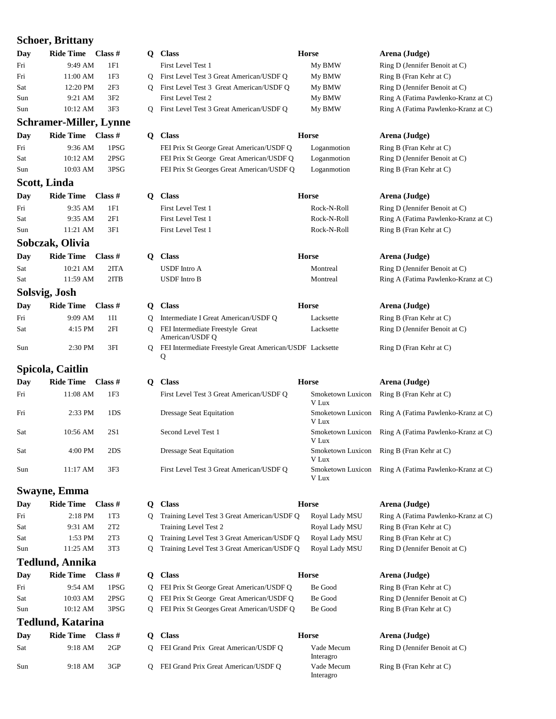### **Schoer, Brittany**

| Day | Ride Time $\blacksquare$ Class # |                 |
|-----|----------------------------------|-----------------|
| Fri | $9:49$ AM                        | 1F1             |
| Fri | $11:00$ AM                       | 1F3             |
| Sat | $12:20$ PM                       | 2F <sub>3</sub> |
| Sun | $9:21$ AM                        | 3F2             |
| Sun | 10:12 AM                         | 3F3             |

### **Schramer-Miller, Lynne**

| Day | <b>Ride Time Class</b> $\overline{H}$ |      |
|-----|---------------------------------------|------|
| Fri | 9:36 AM                               | 1PSG |
| Sat | 10:12 AM                              | 2PSG |
| Sun | 10:03 AM                              | 3PSG |

### **Scott, Linda**

| Dav | Ride Time Class $#$ |     |
|-----|---------------------|-----|
| Fri | $9:35$ AM           | 1F1 |
| Sat | $9:35$ AM           | 2F1 |
| Sun | $11:21$ AM          | 3F1 |
|     |                     |     |

### **Sobczak, Olivia**

| Day        | Ride Time Class # |      |
|------------|-------------------|------|
| <b>Sat</b> | $10:21$ AM        | 2ITA |
| <b>Sat</b> | 11:59 AM          | 2ITB |

### **Solsvig, Josh**

| Day | Ride Time Class $#$ |     |
|-----|---------------------|-----|
| Fri | 9:09 AM             | 1H  |
| Sat | $4:15$ PM           | 2FI |
| Sun | $2:30$ PM           | 3FI |

### **Spicola, Caitlin**

| Day | Ride Time Class # |       |
|-----|-------------------|-------|
| Fri | 11:08 AM          | - 1F3 |
| Fri | $2:33$ PM         | 1DS   |
| Sat | $10:56$ AM        | 2S1   |
| Sat | 4:00 PM           | 2DS   |
| Sun | 11:17 AM          | 3F3   |

### **Swayne, Emma**

| Day | Ride Time Class # |                 |
|-----|-------------------|-----------------|
| Fri | $2:18$ PM         | 1T <sub>3</sub> |
| Sat | $9:31$ AM         | 2T2             |
| Sat | $1:53$ PM         | 2T <sub>3</sub> |
| Sun | $11:25$ AM        | 3T3             |
|     |                   |                 |

### **Tedlund, Annika**

| Day | Ride Time $\blacksquare$ Class # |      |
|-----|----------------------------------|------|
| Fri | 9:54 AM                          | 1PSG |
| Sat | 10:03 AM                         | 2PSG |
| Sun | 10:12 AM                         | 3PSG |

### **Tedlund, Katarina**

| Day | Ride Time Class # |     |
|-----|-------------------|-----|
| Sat | 9:18 AM           | 2GP |
| Sun | 9:18 AM           | 3GP |

|     | Schoer, driually              |                 |              |                                                               |                            |                                                       |
|-----|-------------------------------|-----------------|--------------|---------------------------------------------------------------|----------------------------|-------------------------------------------------------|
| Day | <b>Ride Time</b>              | Class $#$       | Q.           | <b>Class</b>                                                  | <b>Horse</b>               | Arena (Judge)                                         |
| Fri | 9:49 AM                       | 1F1             |              | First Level Test 1                                            | My BMW                     | Ring D (Jennifer Benoit at C)                         |
| Fri | 11:00 AM                      | 1F3             | Q            | First Level Test 3 Great American/USDF Q                      | My BMW                     | Ring B (Fran Kehr at C)                               |
| Sat | 12:20 PM                      | 2F <sub>3</sub> | Q.           | First Level Test 3 Great American/USDF Q                      | My BMW                     | Ring D (Jennifer Benoit at C)                         |
| Sun | 9:21 AM                       | 3F <sub>2</sub> |              | First Level Test 2                                            | My BMW                     | Ring A (Fatima Pawlenko-Kranz at C)                   |
| Sun | 10:12 AM                      | 3F <sub>3</sub> | Q            | First Level Test 3 Great American/USDF Q                      | My BMW                     | Ring A (Fatima Pawlenko-Kranz at C)                   |
|     | <b>Schramer-Miller, Lynne</b> |                 |              |                                                               |                            |                                                       |
| Day | <b>Ride Time</b>              | Class $#$       | Q.           | <b>Class</b>                                                  | <b>Horse</b>               | Arena (Judge)                                         |
| Fri | 9:36 AM                       | 1PSG            |              | FEI Prix St George Great American/USDF Q                      | Loganmotion                | Ring B (Fran Kehr at C)                               |
| Sat | 10:12 AM                      | 2PSG            |              | FEI Prix St George Great American/USDF Q                      | Loganmotion                | Ring D (Jennifer Benoit at C)                         |
| Sun | 10:03 AM                      | 3PSG            |              | FEI Prix St Georges Great American/USDF Q                     | Loganmotion                | Ring B (Fran Kehr at C)                               |
|     | Scott, Linda                  |                 |              |                                                               |                            |                                                       |
| Day | <b>Ride Time</b>              | Class #         | Q            | <b>Class</b>                                                  | <b>Horse</b>               | Arena (Judge)                                         |
| Fri | 9:35 AM                       | 1F1             |              | First Level Test 1                                            | Rock-N-Roll                | Ring D (Jennifer Benoit at C)                         |
| Sat | 9:35 AM                       | 2F1             |              | First Level Test 1                                            | Rock-N-Roll                | Ring A (Fatima Pawlenko-Kranz at C)                   |
| Sun | 11:21 AM                      | 3F1             |              | First Level Test 1                                            | Rock-N-Roll                | Ring B (Fran Kehr at C)                               |
|     |                               |                 |              |                                                               |                            |                                                       |
|     | Sobczak, Olivia               |                 |              |                                                               |                            |                                                       |
| Day | <b>Ride Time</b>              | Class #         | $\mathbf{Q}$ | <b>Class</b>                                                  | <b>Horse</b>               | Arena (Judge)                                         |
| Sat | 10:21 AM                      | 2ITA            |              | <b>USDF</b> Intro A                                           | Montreal                   | Ring D (Jennifer Benoit at C)                         |
| Sat | 11:59 AM                      | 2ITB            |              | <b>USDF</b> Intro B                                           | Montreal                   | Ring A (Fatima Pawlenko-Kranz at C)                   |
|     | Solsvig, Josh                 |                 |              |                                                               |                            |                                                       |
| Day | <b>Ride Time</b>              | Class $#$       | Q            | <b>Class</b>                                                  | <b>Horse</b>               | Arena (Judge)                                         |
| Fri | 9:09 AM                       | 1I1             | O            | Intermediate I Great American/USDF Q                          | Lacksette                  | Ring B (Fran Kehr at C)                               |
| Sat | 4:15 PM                       | 2FI             | $\mathbf{O}$ | FEI Intermediate Freestyle Great<br>American/USDF Q           | Lacksette                  | Ring D (Jennifer Benoit at C)                         |
| Sun | $2:30$ PM                     | 3FI             | Q            | FEI Intermediate Freestyle Great American/USDF Lacksette<br>Q |                            | Ring D (Fran Kehr at C)                               |
|     | Spicola, Caitlin              |                 |              |                                                               |                            |                                                       |
| Day | <b>Ride Time</b>              | Class $#$       | Q            | <b>Class</b>                                                  | <b>Horse</b>               | Arena (Judge)                                         |
| Fri | 11:08 AM                      | 1F <sub>3</sub> |              | First Level Test 3 Great American/USDF Q                      | Smoketown Luxicon<br>V Lux | Ring B (Fran Kehr at C)                               |
| Fri | $2:33$ PM                     | 1DS             |              | <b>Dressage Seat Equitation</b>                               | Smoketown Luxicon<br>V Lux | Ring A (Fatima Pawlenko-Kranz at C)                   |
| Sat | 10:56 AM                      | 2S1             |              | Second Level Test 1                                           | Smoketown Luxicon<br>V Lux | Ring A (Fatima Pawlenko-Kranz at C)                   |
| Sat | 4:00 PM                       | 2DS             |              | <b>Dressage Seat Equitation</b>                               | V Lux                      | Smoketown Luxicon Ring B (Fran Kehr at C)             |
| Sun | 11:17 AM                      | 3F3             |              | First Level Test 3 Great American/USDF Q                      | V Lux                      | Smoketown Luxicon Ring A (Fatima Pawlenko-Kranz at C) |
|     | Swayne, Emma                  |                 |              |                                                               |                            |                                                       |
| Day | <b>Ride Time</b>              | Class #         |              | Q Class                                                       | Horse                      | Arena (Judge)                                         |
| Fri | 2:18 PM                       | 1T <sub>3</sub> | Q            | Training Level Test 3 Great American/USDF Q                   | Royal Lady MSU             | Ring A (Fatima Pawlenko-Kranz at C)                   |
| Sat | 9:31 AM                       | 2T2             |              | Training Level Test 2                                         | Royal Lady MSU             | Ring B (Fran Kehr at C)                               |

- Q Training Level Test 3 Great American/USDF Q Royal Lady MSU Ring B (Fran Kehr at C)
- Q Training Level Test 3 Great American/USDF Q Royal Lady MSU Ring D (Jennifer Benoit at C)

| O Class                                           | Horse   | Arena (Judge)     |
|---------------------------------------------------|---------|-------------------|
| Q FEI Prix St George Great American/USDF O        | Be Good | Ring B (Fran Kel  |
| <b>Q</b> FEI Prix St George Great American/USDF Q | Be Good | Ring D (Jennifer) |
| Q FEI Prix St Georges Great American/USDF Q       | Be Good | Ring B (Fran Kel  |

**D Class Horse Arena (Judge)** Sat 9:18 AM 2GP Q FEI Grand Prix Great American/USDF Q Vade Mecum Ring D (Jennifer Benoit at C) Interagro Sun 9:18 AM 3GP Q FEI Grand Prix Great American/USDF Q Vade Mecum Ring B (Fran Kehr at C) Interagro

| oyal Lady MSU          |  |
|------------------------|--|
| oyal Lady MSU          |  |
| oyal Lady MSU          |  |
| $rad L = 4 \times MCI$ |  |

Fring B (Fran Kehr at C)

| uxicon Ring B (Fran Kehr at C)             |
|--------------------------------------------|
| uxicon Ring A (Fatima Pawlenko-Kranz at C) |
| uxicon Ring A (Fatima Pawlenko-Kranz at C) |
| uxicon Ring B (Fran Kehr at C)             |
| uxicon Ring A (Fatima Pawlenko-Kranz at C) |

ood Ring D (Jennifer Benoit at C) ood Ring B (Fran Kehr at C)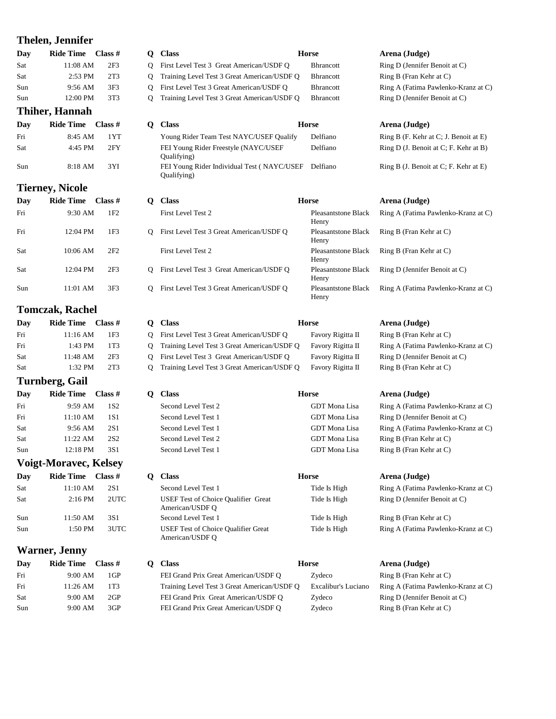### **Thelen, Jennifer**

| Day            | Ride Time Class # |                 |  |
|----------------|-------------------|-----------------|--|
| Sat            | 11:08 AM          | 2F <sub>3</sub> |  |
| Sat            | $2:53$ PM         | 2T <sub>3</sub> |  |
| Sun            | $9:56$ AM         | 3F3             |  |
| Sun            | $12:00$ PM        | 3T <sub>3</sub> |  |
| Thiher, Hannah |                   |                 |  |

| Day              | Ride Time Class # |        |
|------------------|-------------------|--------|
| Fri              | 8:45 AM 1 YT      |        |
| Sat              | $4:45$ PM         | $2$ FY |
| S <sub>11n</sub> | $8.18$ AM         | -3 Y I |

### **Tierney, Nicole**

| Day | Ride Time Class $#$ |                 |
|-----|---------------------|-----------------|
| Fri | 9:30 AM 1F2         |                 |
| Fri | 12:04 PM 1F3        |                 |
| Sat | $10:06$ AM          | 2F2             |
| Sat | 12:04 PM            | 2F <sub>3</sub> |
| Sun | 11:01 AM            | 3F <sub>3</sub> |

### **Tomczak, Rachel**

| Day | Ride Time $\blacksquare$ Class # |                 |
|-----|----------------------------------|-----------------|
| Fri | 11:16 AM                         | 1F3             |
| Fri | $1:43$ PM                        | 1T <sub>3</sub> |
| Sat | $11:48$ AM                       | 2F <sub>3</sub> |
| Sat | 1:32 PM                          | 2T <sub>3</sub> |
|     |                                  |                 |

### **Turnberg, Gail**

| Ride Time Class #            |                 |
|------------------------------|-----------------|
| 9:59 AM                      | 1S <sub>2</sub> |
| 11:10 AM                     | 1S1             |
| 9:56 AM                      | 2S1             |
| 11:22 AM                     | 2S <sub>2</sub> |
| 12:18 PM                     | 3S1             |
| <b>Voigt-Moravec, Kelsey</b> |                 |
|                              |                 |

| υuν | isiac fiinc |                  |
|-----|-------------|------------------|
| Sat | 11:10 AM    | 2S1              |
| Sat | $2:16$ PM   | 2UT <sub>C</sub> |
| Sun | 11:50 AM    | 3S1              |
| Sun | 1:50 PM     | 3UTC             |

### **Warner, Jenny**

| Ride Time Class # |                 |
|-------------------|-----------------|
| $9:00$ AM         | 1GP             |
| 11:26 AM          | 1T <sub>3</sub> |
| $9:00$ AM         | 2GP             |
| $9:00$ AM         | 3GP             |
|                   |                 |

|     | Thelen, Jennifer             |                 |              |                                                               |                                     |                                       |
|-----|------------------------------|-----------------|--------------|---------------------------------------------------------------|-------------------------------------|---------------------------------------|
| Day | <b>Ride Time</b>             | Class $#$       | Q            | <b>Class</b>                                                  | <b>Horse</b>                        | Arena (Judge)                         |
| Sat | 11:08 AM                     | 2F3             | Q            | First Level Test 3 Great American/USDF Q                      | <b>Bhrancott</b>                    | Ring D (Jennifer Benoit at C)         |
| Sat | 2:53 PM                      | 2T3             | Q            | Training Level Test 3 Great American/USDF Q                   | <b>Bhrancott</b>                    | Ring B (Fran Kehr at C)               |
| Sun | 9:56 AM                      | 3F3             | Q            | First Level Test 3 Great American/USDF Q                      | <b>Bhrancott</b>                    | Ring A (Fatima Pawlenko-Kranz at C)   |
| Sun | 12:00 PM                     | 3T <sub>3</sub> | Q            | Training Level Test 3 Great American/USDF Q                   | <b>Bhrancott</b>                    | Ring D (Jennifer Benoit at C)         |
|     | Thiher, Hannah               |                 |              |                                                               |                                     |                                       |
| Day | <b>Ride Time</b>             | Class $#$       | Q            | <b>Class</b>                                                  | <b>Horse</b>                        | Arena (Judge)                         |
| Fri | 8:45 AM                      | 1YT             |              | Young Rider Team Test NAYC/USEF Qualify                       | Delfiano                            | Ring B (F. Kehr at C; J. Benoit at E) |
| Sat | 4:45 PM                      | 2FY             |              | FEI Young Rider Freestyle (NAYC/USEF<br>Qualifying)           | Delfiano                            | Ring D (J. Benoit at C; F. Kehr at B) |
| Sun | 8:18 AM                      | 3YI             |              | FEI Young Rider Individual Test (NAYC/USEF<br>Qualifying)     | Delfiano                            | Ring B (J. Benoit at C; F. Kehr at E) |
|     | <b>Tierney, Nicole</b>       |                 |              |                                                               |                                     |                                       |
| Day | <b>Ride Time</b>             | Class $#$       | $\mathbf{Q}$ | <b>Class</b>                                                  | <b>Horse</b>                        | Arena (Judge)                         |
| Fri | 9:30 AM                      | 1F <sub>2</sub> |              | First Level Test 2                                            | Pleasantstone Black<br>Henry        | Ring A (Fatima Pawlenko-Kranz at C)   |
| Fri | 12:04 PM                     | 1F3             | Q            | First Level Test 3 Great American/USDF Q                      | Pleasantstone Black<br>Henry        | Ring B (Fran Kehr at C)               |
| Sat | 10:06 AM                     | 2F <sub>2</sub> |              | First Level Test 2                                            | <b>Pleasantstone Black</b><br>Henry | Ring B (Fran Kehr at C)               |
| Sat | 12:04 PM                     | 2F <sub>3</sub> | Q.           | First Level Test 3 Great American/USDF Q                      | Pleasantstone Black<br>Henry        | Ring D (Jennifer Benoit at C)         |
| Sun | 11:01 AM                     | 3F3             | Q            | First Level Test 3 Great American/USDF Q                      | <b>Pleasantstone Black</b><br>Henry | Ring A (Fatima Pawlenko-Kranz at C)   |
|     | <b>Tomczak, Rachel</b>       |                 |              |                                                               |                                     |                                       |
| Day | Ride Time Class #            |                 | $\mathbf{Q}$ | <b>Class</b>                                                  | <b>Horse</b>                        | Arena (Judge)                         |
| Fri | 11:16 AM                     | 1F3             | Q            | First Level Test 3 Great American/USDF Q                      | Favory Rigitta II                   | Ring B (Fran Kehr at C)               |
| Fri | 1:43 PM                      | 1T <sub>3</sub> | Q            | Training Level Test 3 Great American/USDF Q                   | Favory Rigitta II                   | Ring A (Fatima Pawlenko-Kranz at C)   |
| Sat | 11:48 AM                     | 2F <sub>3</sub> | Q            | First Level Test 3 Great American/USDF Q                      | Favory Rigitta II                   | Ring D (Jennifer Benoit at C)         |
| Sat | 1:32 PM                      | 2T <sub>3</sub> | Q            | Training Level Test 3 Great American/USDF Q                   | Favory Rigitta II                   | Ring B (Fran Kehr at C)               |
|     | Turnberg, Gail               |                 |              |                                                               |                                     |                                       |
| Day | <b>Ride Time</b>             | Class $#$       | $\mathbf{Q}$ | <b>Class</b>                                                  | <b>Horse</b>                        | Arena (Judge)                         |
| Fri | 9:59 AM                      | 1S <sub>2</sub> |              | Second Level Test 2                                           | GDT Mona Lisa                       | Ring A (Fatima Pawlenko-Kranz at C)   |
| Fri | 11:10 AM                     | 1S1             |              | Second Level Test 1                                           | GDT Mona Lisa                       | Ring D (Jennifer Benoit at C)         |
| Sat | 9:56 AM                      | 2S1             |              | Second Level Test 1                                           | GDT Mona Lisa                       | Ring A (Fatima Pawlenko-Kranz at C)   |
| Sat | 11:22 AM                     | <b>2S2</b>      |              | Second Level Test 2                                           | GDT Mona Lisa                       | Ring B (Fran Kehr at C)               |
| Sun | 12:18 PM                     | 3S 1            |              | Second Level Test 1                                           | GDT Mona Lisa                       | Ring B (Fran Kehr at C)               |
|     | <b>Voigt-Moravec, Kelsey</b> |                 |              |                                                               |                                     |                                       |
| Day | <b>Ride Time</b>             | Class #         |              | Q Class                                                       | <b>Horse</b>                        | Arena (Judge)                         |
| Sat | 11:10 AM                     | $2S1$           |              | Second Level Test 1                                           | Tide Is High                        | Ring A (Fatima Pawlenko-Kranz at C)   |
| Sat | 2:16 PM                      | 2UTC            |              | USEF Test of Choice Qualifier Great<br>American/USDF Q        | Tide Is High                        | Ring D (Jennifer Benoit at C)         |
| Sun | 11:50 AM                     | 3S 1            |              | Second Level Test 1                                           | Tide Is High                        | Ring B (Fran Kehr at C)               |
| Sun | 1:50 PM                      | 3UTC            |              | <b>USEF Test of Choice Qualifier Great</b><br>American/USDF Q | Tide Is High                        | Ring A (Fatima Pawlenko-Kranz at C)   |
|     | <b>Warner, Jenny</b>         |                 |              |                                                               |                                     |                                       |
| Day | <b>Ride Time</b>             | Class $#$       |              | Q Class                                                       | Horse                               | Arena (Judge)                         |
| Fri | 9:00 AM                      | 1GP             |              | FEI Grand Prix Great American/USDF Q                          | Zydeco                              | Ring B (Fran Kehr at C)               |

| Dav | <b>Ride Time</b> | Class $#$       | <b>Class</b>                                | Horse               | Arena (Judge)                       |  |
|-----|------------------|-----------------|---------------------------------------------|---------------------|-------------------------------------|--|
| Fri | 9:00 AM          | 1GP             | FEI Grand Prix Great American/USDF O        | Zydeco              | Ring B (Fran Kehr at C)             |  |
| Fri | 11:26 AM         | 1T <sub>3</sub> | Training Level Test 3 Great American/USDF Q | Excalibur's Luciano | Ring A (Fatima Pawlenko-Kranz at C) |  |
| Sat | 9:00 AM          | 2GP             | FEI Grand Prix Great American/USDF O        | Zydeco              | Ring D (Jennifer Benoit at C)       |  |
| Sun | $9:00$ AM        | 3GP             | FEI Grand Prix Great American/USDF Q        | Zydeco              | Ring B (Fran Kehr at C)             |  |